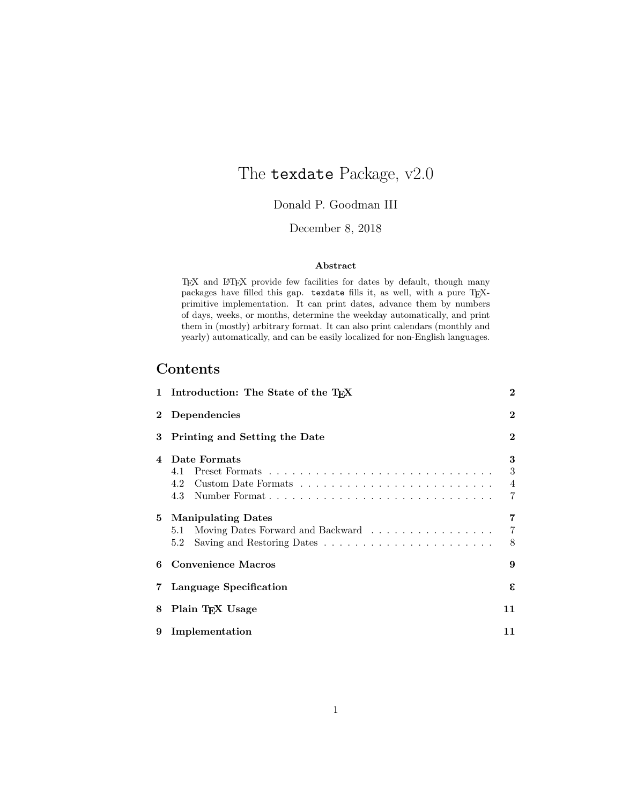# The texdate Package, v2.0

### Donald P. Goodman III

#### December 8, 2018

#### Abstract

TEX and LATEX provide few facilities for dates by default, though many packages have filled this gap. texdate fills it, as well, with a pure TEXprimitive implementation. It can print dates, advance them by numbers of days, weeks, or months, determine the weekday automatically, and print them in (mostly) arbitrary format. It can also print calendars (monthly and yearly) automatically, and can be easily localized for non-English languages.

### Contents

|                        | 1 Introduction: The State of the T <sub>F</sub> X                                                                                                             |                  |  |  |  |  |  |  |  |  |  |  |  |  |
|------------------------|---------------------------------------------------------------------------------------------------------------------------------------------------------------|------------------|--|--|--|--|--|--|--|--|--|--|--|--|
| $\bf{2}$               | Dependencies                                                                                                                                                  | $\bf{2}$         |  |  |  |  |  |  |  |  |  |  |  |  |
| 3                      | Printing and Setting the Date                                                                                                                                 | $\bf{2}$         |  |  |  |  |  |  |  |  |  |  |  |  |
| $\boldsymbol{\Lambda}$ | Date Formats<br>4.1<br>4.2<br>4.3                                                                                                                             | 3<br>3<br>4<br>7 |  |  |  |  |  |  |  |  |  |  |  |  |
| 5                      | <b>Manipulating Dates</b><br>Moving Dates Forward and Backward<br>5.1<br>Saving and Restoring Dates $\ldots \ldots \ldots \ldots \ldots \ldots \ldots$<br>5.2 | 7<br>7<br>8      |  |  |  |  |  |  |  |  |  |  |  |  |
| 6                      | <b>Convenience Macros</b>                                                                                                                                     | 9                |  |  |  |  |  |  |  |  |  |  |  |  |
| 7                      | Language Specification                                                                                                                                        | ε.               |  |  |  |  |  |  |  |  |  |  |  |  |
| 8                      | Plain T <sub>F</sub> X Usage                                                                                                                                  | 11               |  |  |  |  |  |  |  |  |  |  |  |  |
| 9                      | Implementation                                                                                                                                                | 11               |  |  |  |  |  |  |  |  |  |  |  |  |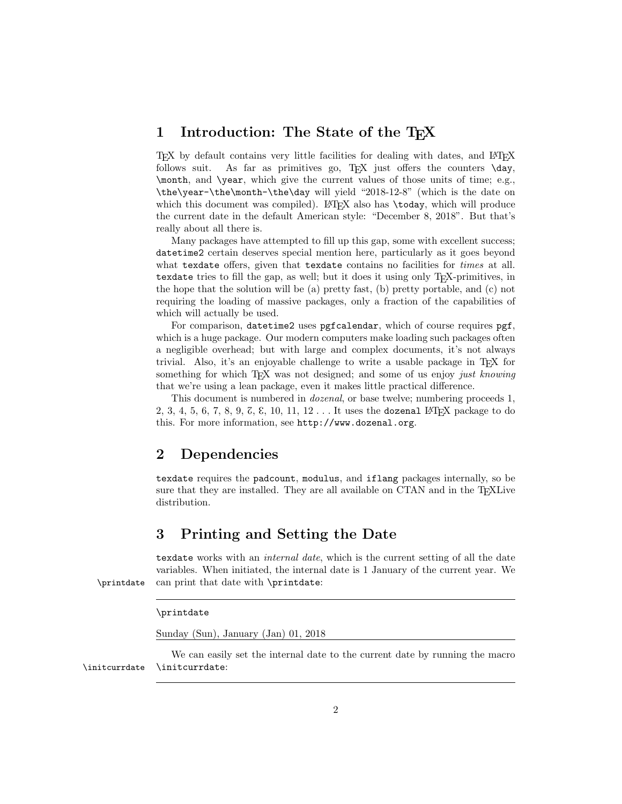### 1 Introduction: The State of the T<sub>E</sub>X

TEX by default contains very little facilities for dealing with dates, and LATEX follows suit. As far as primitives go,  $T_F X$  just offers the counters  $\text{day}$ , \month, and \year, which give the current values of those units of time; e.g., \the\year-\the\month-\the\day will yield "2018-12-8" (which is the date on which this document was compiled). LAT<sub>EX</sub> also has \today, which will produce the current date in the default American style: "December 8, 2018". But that's really about all there is.

Many packages have attempted to fill up this gap, some with excellent success; datetime2 certain deserves special mention here, particularly as it goes beyond what texdate offers, given that texdate contains no facilities for *times* at all. texdate tries to fill the gap, as well; but it does it using only T<sub>E</sub>X-primitives, in the hope that the solution will be (a) pretty fast, (b) pretty portable, and (c) not requiring the loading of massive packages, only a fraction of the capabilities of which will actually be used.

For comparison, datetime2 uses pgfcalendar, which of course requires pgf, which is a huge package. Our modern computers make loading such packages often a negligible overhead; but with large and complex documents, it's not always trivial. Also, it's an enjoyable challenge to write a usable package in TFX for something for which T<sub>EX</sub> was not designed; and some of us enjoy just knowing that we're using a lean package, even it makes little practical difference.

This document is numbered in *dozenal*, or base twelve; numbering proceeds 1, 2, 3, 4, 5, 6, 7, 8, 9, 7, 8, 10, 11, 12.  $\ldots$  It uses the dozenal LAT<sub>E</sub>X package to do this. For more information, see http://www.dozenal.org.

### 2 Dependencies

texdate requires the padcount, modulus, and iflang packages internally, so be sure that they are installed. They are all available on CTAN and in the T<sub>E</sub>XLive distribution.

### 3 Printing and Setting the Date

texdate works with an *internal date*, which is the current setting of all the date variables. When initiated, the internal date is 1 January of the current year. We \printdate can print that date with \printdate:

#### \printdate

Sunday (Sun), January (Jan) 01, 2018

We can easily set the internal date to the current date by running the macro \initcurrdate \initcurrdate: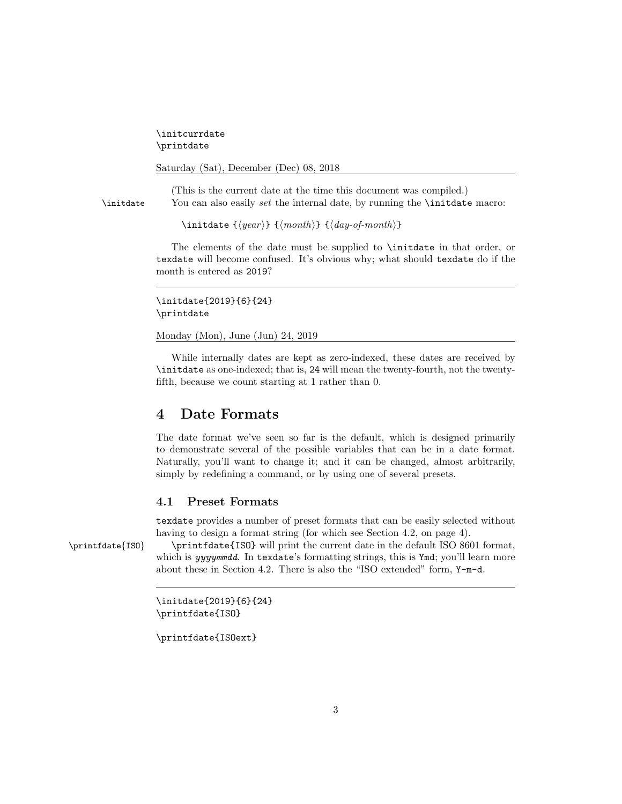\initcurrdate \printdate

```
Saturday (Sat), December (Dec) 08, 2018
```
(This is the current date at the time this document was compiled.) \initdate You can also easily set the internal date, by running the \initdate macro:

\initdate { $\langle year \rangle$ } { $\langle month \rangle$ } { $\langle day-off-month \rangle$ }

The elements of the date must be supplied to \initdate in that order, or texdate will become confused. It's obvious why; what should texdate do if the month is entered as 2019?

\initdate{2019}{6}{24} \printdate

Monday (Mon), June (Jun) 24, 2019

While internally dates are kept as zero-indexed, these dates are received by \initdate as one-indexed; that is, 24 will mean the twenty-fourth, not the twentyfifth, because we count starting at 1 rather than 0.

### 4 Date Formats

The date format we've seen so far is the default, which is designed primarily to demonstrate several of the possible variables that can be in a date format. Naturally, you'll want to change it; and it can be changed, almost arbitrarily, simply by redefining a command, or by using one of several presets.

### 4.1 Preset Formats

texdate provides a number of preset formats that can be easily selected without having to design a format string (for which see Section 4.2, on page 4).

\printfdate{ISO} \printfdate{ISO} will print the current date in the default ISO 8601 format, which is yyyymmdd. In texdate's formatting strings, this is Ymd; you'll learn more about these in Section 4.2. There is also the "ISO extended" form, Y-m-d.

```
\initdate{2019}{6}{24}
\printfdate{ISO}
```
\printfdate{ISOext}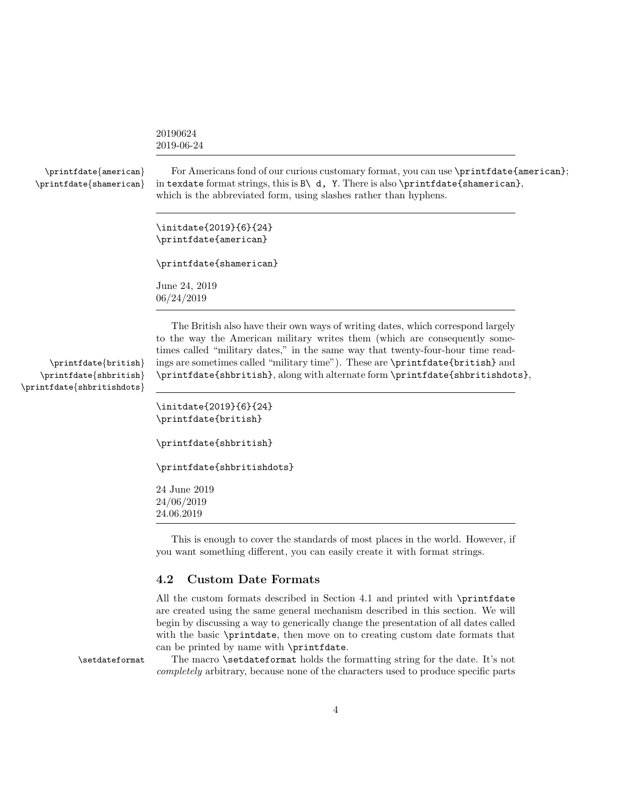|                                                  | 20190624<br>2019-06-24                                                                                                                                                                                                                                        |
|--------------------------------------------------|---------------------------------------------------------------------------------------------------------------------------------------------------------------------------------------------------------------------------------------------------------------|
| \printfdate{american}<br>\printfdate{shamerican} | For Americans fond of our curious customary format, you can use \printfdate{american};<br>in texdate format strings, this is $B \setminus d$ , Y. There is also \printfdate{shamerican},<br>which is the abbreviated form, using slashes rather than hyphens. |
|                                                  | \initdate{2019}{6}{24}<br>\printfdate{american}                                                                                                                                                                                                               |
|                                                  | \printfdate{shamerican}                                                                                                                                                                                                                                       |
|                                                  | June 24, 2019<br>06/24/2019                                                                                                                                                                                                                                   |
|                                                  | The British also have their own ways of writing dates, which correspond largely<br>to the way the American military writes them (which are consequently some-<br>times called "military dates," in the same way that twenty-four-hour time read-              |

\printfdate{shbritishdots}

\printfdate{british} ings are sometimes called "military time"). These are \printfdate{british} and \printfdate{shbritish} \printfdate{shbritish}, along with alternate form \printfdate{shbritishdots}, \initdate{2019}{6}{24}

```
\printfdate{british}
\printfdate{shbritish}
\printfdate{shbritishdots}
```
24 June 2019 24/06/2019 24.06.2019

This is enough to cover the standards of most places in the world. However, if you want something different, you can easily create it with format strings.

#### 4.2 Custom Date Formats

All the custom formats described in Section 4.1 and printed with \printfdate are created using the same general mechanism described in this section. We will begin by discussing a way to generically change the presentation of all dates called with the basic \printdate, then move on to creating custom date formats that can be printed by name with \printfdate.

\setdateformat The macro \setdateformat holds the formatting string for the date. It's not completely arbitrary, because none of the characters used to produce specific parts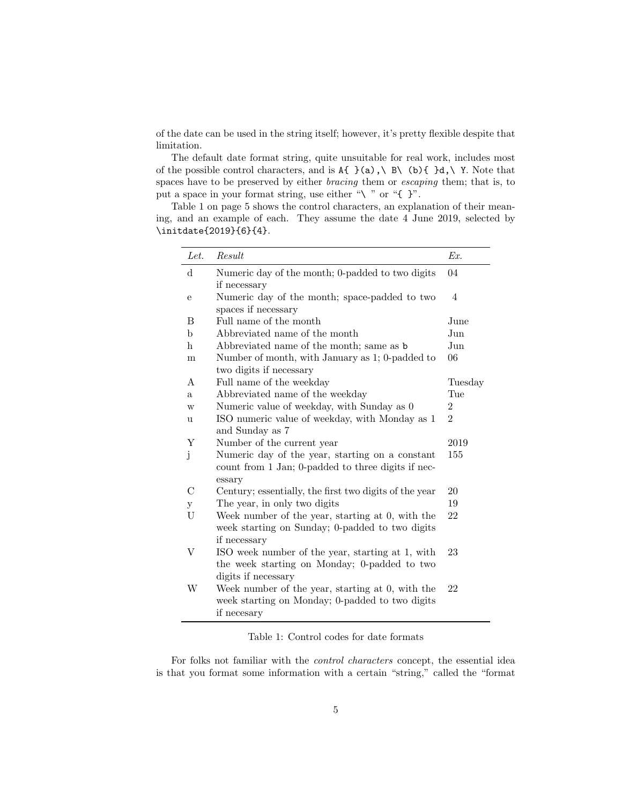of the date can be used in the string itself; however, it's pretty flexible despite that limitation.

The default date format string, quite unsuitable for real work, includes most of the possible control characters, and is  $A\{\}$  (a), \ B\ (b){ }d, \ Y. Note that spaces have to be preserved by either bracing them or escaping them; that is, to put a space in your format string, use either " $\mathcal{N}$ " or "{ }".

Table 1 on page 5 shows the control characters, an explanation of their meaning, and an example of each. They assume the date 4 June 2019, selected by \initdate{2019}{6}{4}.

| Let.          | Result                                                 | Ex.            |
|---------------|--------------------------------------------------------|----------------|
| $\rm d$       | Numeric day of the month; 0-padded to two digits       | 04             |
|               | if necessary                                           |                |
| е             | Numeric day of the month; space-padded to two          | 4              |
|               | spaces if necessary                                    |                |
| B             | Full name of the month                                 | June           |
| b             | Abbreviated name of the month                          | Jun            |
| h             | Abbreviated name of the month; same as b               | Jun            |
| m             | Number of month, with January as 1; 0-padded to        | 06             |
|               | two digits if necessary                                |                |
| A             | Full name of the weekday                               | Tuesday        |
| a.            | Abbreviated name of the weekday                        | Tue            |
| W             | Numeric value of weekday, with Sunday as 0             | $\overline{2}$ |
| u             | ISO numeric value of weekday, with Monday as 1         | $\overline{2}$ |
|               | and Sunday as 7                                        |                |
| Y             | Number of the current year                             | 2019           |
| j             | Numeric day of the year, starting on a constant        | 155            |
|               | count from 1 Jan; 0-padded to three digits if nec-     |                |
|               | essary                                                 |                |
| $\mathcal{C}$ | Century; essentially, the first two digits of the year | 20             |
| у             | The year, in only two digits                           | 19             |
| U             | Week number of the year, starting at 0, with the       | 22             |
|               | week starting on Sunday; 0-padded to two digits        |                |
|               | if necessary                                           |                |
| V             | ISO week number of the year, starting at 1, with       | 23             |
|               | the week starting on Monday; 0-padded to two           |                |
|               | digits if necessary                                    |                |
| W             | Week number of the year, starting at 0, with the       | 22             |
|               | week starting on Monday; 0-padded to two digits        |                |
|               | if necesary                                            |                |

Table 1: Control codes for date formats

For folks not familiar with the control characters concept, the essential idea is that you format some information with a certain "string," called the "format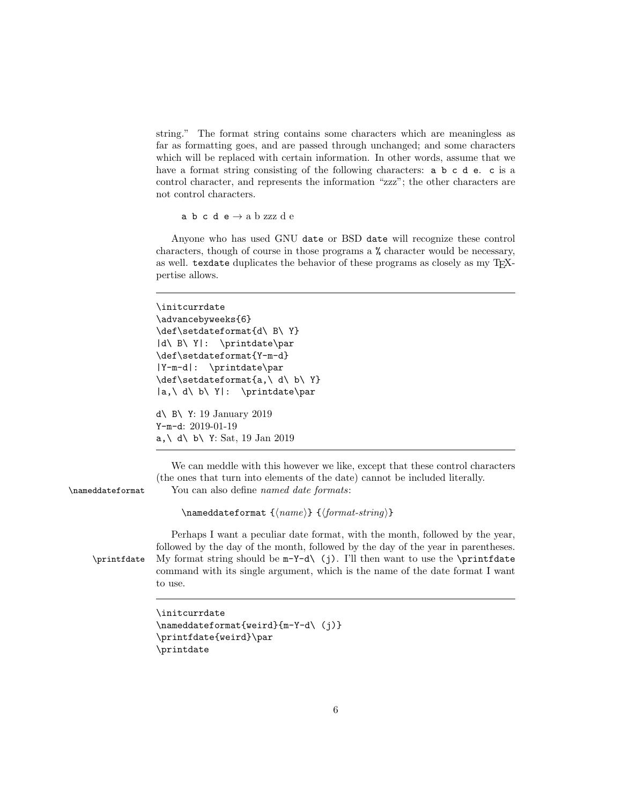string." The format string contains some characters which are meaningless as far as formatting goes, and are passed through unchanged; and some characters which will be replaced with certain information. In other words, assume that we have a format string consisting of the following characters: **a b c d e**. **c** is a control character, and represents the information "zzz"; the other characters are not control characters.

a b c d e  $\rightarrow$ a b zzz d e

Anyone who has used GNU date or BSD date will recognize these control characters, though of course in those programs a % character would be necessary, as well. texdate duplicates the behavior of these programs as closely as my TFXpertise allows.

```
\initcurrdate
                  \advancebyweeks{6}
                  \def\setdateformat{d\ B\ Y}
                  |d\ B\ Y|: \printdate\par
                  \def\setdateformat{Y-m-d}
                  |Y-m-d|: \printdate\par
                  \def\setdateformat{a,\ d\ b\ Y}
                  |a,\ d\ b\ Y|: \printdate\par
                  d\ B\ Y: 19 January 2019
                  Y-m-d: 2019-01-19
                  a, \ d\ b\ Y: Sat, 19 Jan 2019
                     We can meddle with this however we like, except that these control characters
                  (the ones that turn into elements of the date) cannot be included literally.
\nameddateformat You can also define named date formats:
                        \langlehameddateformat {\langlename}} {\langleformat-string}}
                     Perhaps I want a peculiar date format, with the month, followed by the year,
                  followed by the day of the month, followed by the day of the year in parentheses.
    \prime My format string should be m-Y-d\\ (i). I'll then want to use the \printfdate
                  command with its single argument, which is the name of the date format I want
                  to use.
                  \initcurrdate
                  \nameddateformat{weird}{m-Y-d\ (j)}
                  \printfdate{weird}\par
```

```
\printdate
```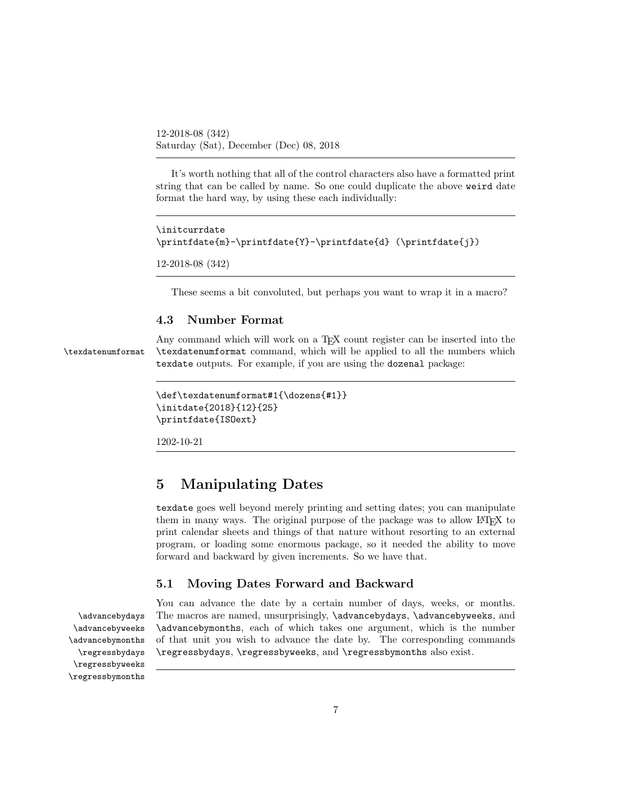12-2018-08 (342) Saturday (Sat), December (Dec) 08, 2018

It's worth nothing that all of the control characters also have a formatted print string that can be called by name. So one could duplicate the above weird date format the hard way, by using these each individually:

```
\initcurrdate
\printfdate{m}-\printfdate{Y}-\printfdate{d} (\printfdate{j})
```

```
12-2018-08 (342)
```
These seems a bit convoluted, but perhaps you want to wrap it in a macro?

#### 4.3 Number Format

Any command which will work on a T<sub>E</sub>X count register can be inserted into the \texdatenumformat \texdatenumformat command, which will be applied to all the numbers which texdate outputs. For example, if you are using the dozenal package:

```
\def\texdatenumformat#1{\dozens{#1}}
\initdate{2018}{12}{25}
\printfdate{ISOext}
```
1202-10-21

### 5 Manipulating Dates

texdate goes well beyond merely printing and setting dates; you can manipulate them in many ways. The original purpose of the package was to allow LAT<sub>EX</sub> to print calendar sheets and things of that nature without resorting to an external program, or loading some enormous package, so it needed the ability to move forward and backward by given increments. So we have that.

#### 5.1 Moving Dates Forward and Backward

\regressbyweeks \regressbymonths

You can advance the date by a certain number of days, weeks, or months. \advancebydays The macros are named, unsurprisingly, \advancebydays, \advancebyweeks, and \advancebyweeks \advancebymonths, each of which takes one argument, which is the number \advancebymonths of that unit you wish to advance the date by. The corresponding commands \regressbydays \regressbydays, \regressbyweeks, and \regressbymonths also exist.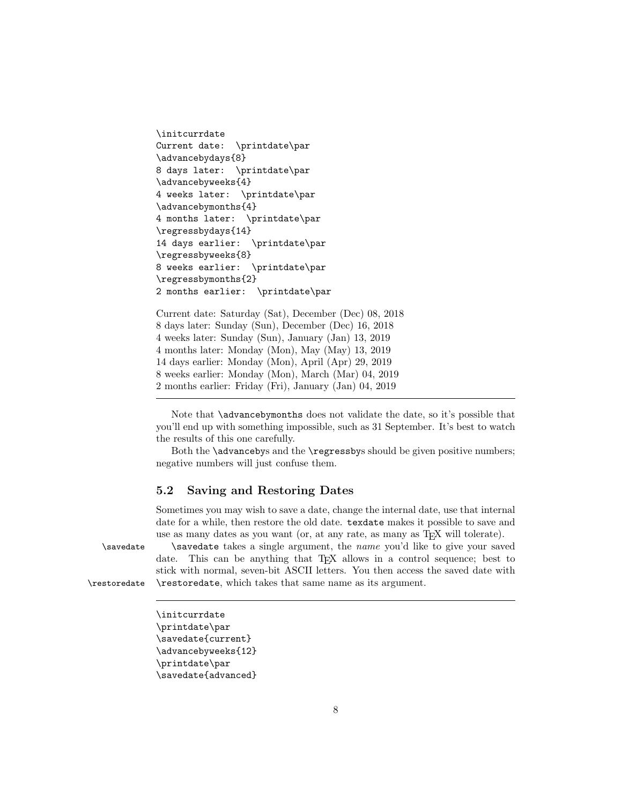```
\initcurrdate
Current date: \printdate\par
\advancebydays{8}
8 days later: \printdate\par
\advancebyweeks{4}
4 weeks later: \printdate\par
\advancebymonths{4}
4 months later: \printdate\par
\regressbydays{14}
14 days earlier: \printdate\par
\regressbyweeks{8}
8 weeks earlier: \printdate\par
\regressbymonths{2}
2 months earlier: \printdate\par
```

```
Current date: Saturday (Sat), December (Dec) 08, 2018
8 days later: Sunday (Sun), December (Dec) 16, 2018
4 weeks later: Sunday (Sun), January (Jan) 13, 2019
4 months later: Monday (Mon), May (May) 13, 2019
14 days earlier: Monday (Mon), April (Apr) 29, 2019
8 weeks earlier: Monday (Mon), March (Mar) 04, 2019
2 months earlier: Friday (Fri), January (Jan) 04, 2019
```
Note that **\advancebymonths** does not validate the date, so it's possible that you'll end up with something impossible, such as 31 September. It's best to watch the results of this one carefully.

Both the **\advancebys** and the **\regressbys** should be given positive numbers; negative numbers will just confuse them.

### 5.2 Saving and Restoring Dates

Sometimes you may wish to save a date, change the internal date, use that internal date for a while, then restore the old date. texdate makes it possible to save and use as many dates as you want (or, at any rate, as many as T<sub>E</sub>X will tolerate).

\savedate \savedate takes a single argument, the name you'd like to give your saved date. This can be anything that T<sub>E</sub>X allows in a control sequence; best to stick with normal, seven-bit ASCII letters. You then access the saved date with \restoredate \restoredate, which takes that same name as its argument.

\initcurrdate \printdate\par \savedate{current} \advancebyweeks{12} \printdate\par \savedate{advanced}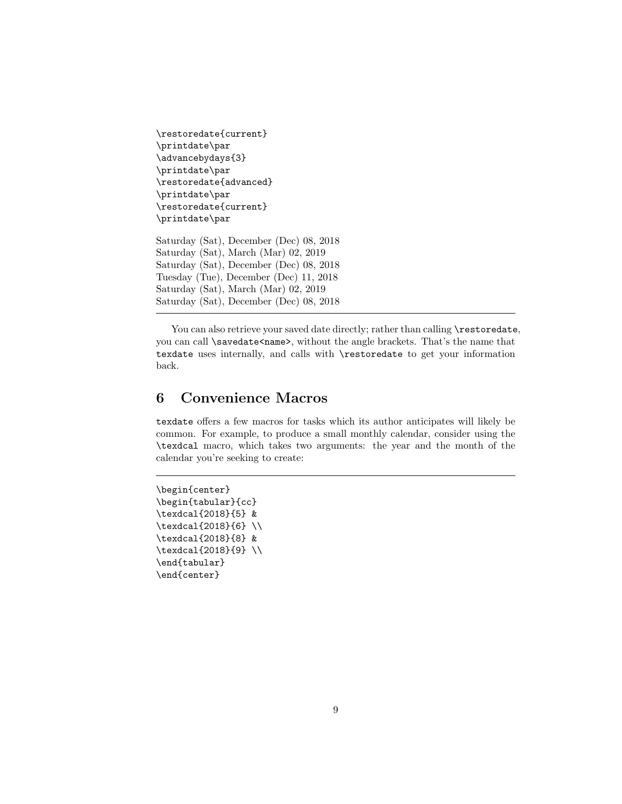```
\restoredate{current}
\printdate\par
\advancebydays{3}
\printdate\par
\restoredate{advanced}
\printdate\par
\restoredate{current}
\printdate\par
Saturday (Sat), December (Dec) 08, 2018
Saturday (Sat), March (Mar) 02, 2019
Saturday (Sat), December (Dec) 08, 2018
Tuesday (Tue), December (Dec) 11, 2018
Saturday (Sat), March (Mar) 02, 2019
Saturday (Sat), December (Dec) 08, 2018
```
You can also retrieve your saved date directly; rather than calling \restoredate, you can call \savedate<name>, without the angle brackets. That's the name that texdate uses internally, and calls with \restoredate to get your information back.

# 6 Convenience Macros

texdate offers a few macros for tasks which its author anticipates will likely be common. For example, to produce a small monthly calendar, consider using the \texdcal macro, which takes two arguments: the year and the month of the calendar you're seeking to create:

```
\begin{center}
\begin{tabular}{cc}
\texdcal{2018}{5} &
\texdcal{2018}{6} \\
\texdcal{2018}{8} &
\texdcal{2018}{9} \\
\end{tabular}
\end{center}
```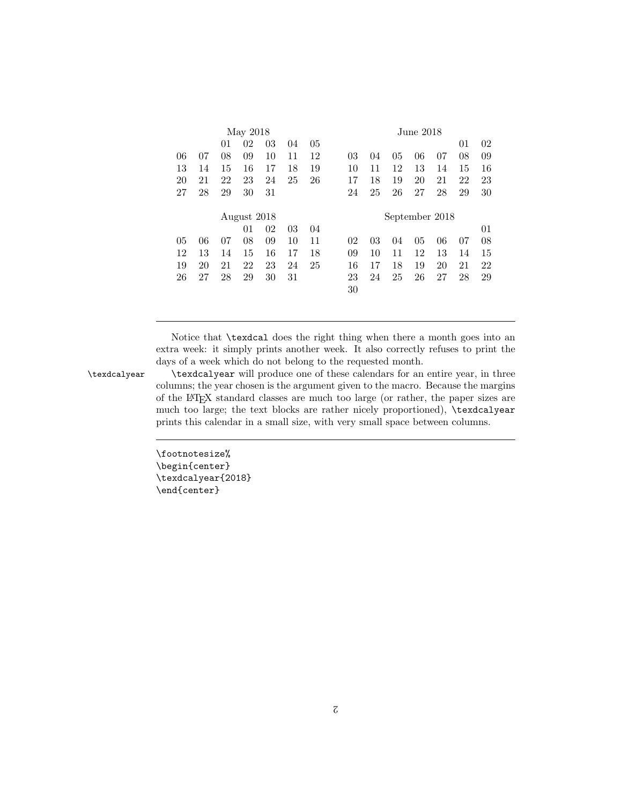|    |    |    | May 2018    |    |    |                | June 2018. |    |    |                |    |    |    |  |  |  |
|----|----|----|-------------|----|----|----------------|------------|----|----|----------------|----|----|----|--|--|--|
|    |    | 01 | 02          | 03 | 04 | 05             |            |    |    |                |    | 01 | 02 |  |  |  |
| 06 | 07 | 08 | 09          | 10 | 11 | 12             | 03         | 04 | 05 | 06             | 07 | 08 | 09 |  |  |  |
| 13 | 14 | 15 | 16          | 17 | 18 | 19             | 10         | 11 | 12 | 13             | 14 | 15 | 16 |  |  |  |
| 20 | 21 | 22 | 23          | 24 | 25 | 26             | 17         | 18 | 19 | 20             | 21 | 22 | 23 |  |  |  |
| 27 | 28 | 29 | 30          | 31 |    |                | 24         | 25 | 26 | 27             | 28 | 29 | 30 |  |  |  |
|    |    |    |             |    |    |                |            |    |    |                |    |    |    |  |  |  |
|    |    |    | August 2018 |    |    | September 2018 |            |    |    |                |    |    |    |  |  |  |
|    |    |    | 01          | 02 | 03 | 04             |            |    |    |                |    |    | 01 |  |  |  |
| 05 | 06 | 07 | 08          | 09 | 10 | 11             | 02         | 03 | 04 | 0 <sub>5</sub> | 06 | 07 | 08 |  |  |  |
| 12 | 13 | 14 | 15          | 16 | 17 | 18             | 09         | 10 | 11 | 12             | 13 | 14 | 15 |  |  |  |
| 19 | 20 | 21 | 22          | 23 | 24 | 25             | 16         | 17 | 18 | 19             | 20 | 21 | 22 |  |  |  |
| 26 | 27 | 28 | 29          | 30 | 31 |                | 23         | 24 | 25 | 26             | 27 | 28 | 29 |  |  |  |
|    |    |    |             |    |    |                | 30         |    |    |                |    |    |    |  |  |  |
|    |    |    |             |    |    |                |            |    |    |                |    |    |    |  |  |  |

Notice that \texdcal does the right thing when there a month goes into an extra week: it simply prints another week. It also correctly refuses to print the days of a week which do not belong to the requested month.

\texdcalyear \texdcalyear will produce one of these calendars for an entire year, in three columns; the year chosen is the argument given to the macro. Because the margins of the LATEX standard classes are much too large (or rather, the paper sizes are much too large; the text blocks are rather nicely proportioned), \texdcalyear prints this calendar in a small size, with very small space between columns.

> \footnotesize% \begin{center} \texdcalyear{2018} \end{center}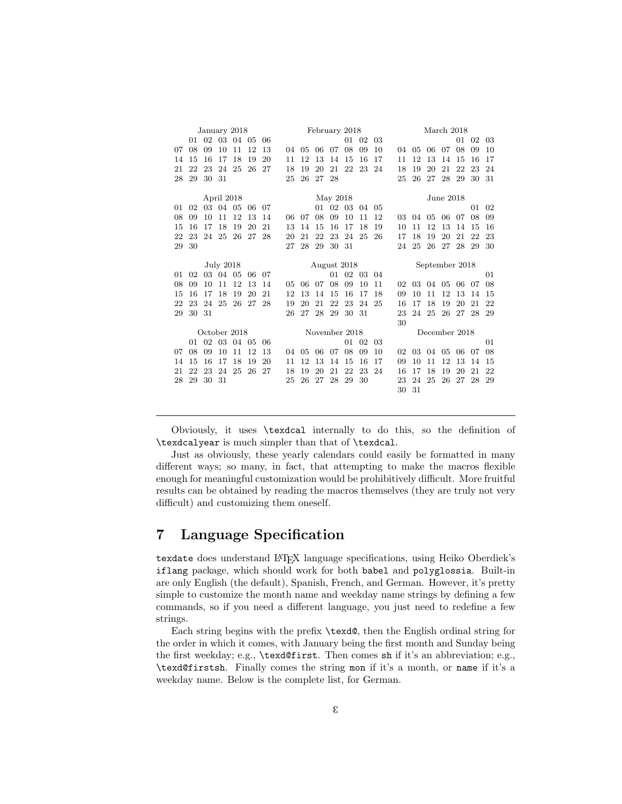| January 2018 |    |    |            |    |    |    |               | February 2018  |    |    |    |    |    |    |    |               | March 2018     |    |    | 03<br>10<br>17<br>24<br>31 |  |  |  |  |  |
|--------------|----|----|------------|----|----|----|---------------|----------------|----|----|----|----|----|----|----|---------------|----------------|----|----|----------------------------|--|--|--|--|--|
|              | 01 | 02 | 03         | 04 | 05 | 06 |               | 01<br>02<br>03 |    |    |    |    |    |    |    |               |                | 01 | 02 |                            |  |  |  |  |  |
| 07           | 08 | 09 | 10         | 11 | 12 | 13 | 04            | 05             | 06 | 07 | 08 | 09 | 10 | 04 | 05 | 06            | 07             | 08 | 09 |                            |  |  |  |  |  |
| 14           | 15 | 16 | 17         | 18 | 19 | 20 | 11            | 12             | 13 | 14 | 15 | 16 | 17 | 11 | 12 | 13            | 14             | 15 | 16 |                            |  |  |  |  |  |
| 21           | 22 | 23 | 24         | 25 | 26 | 27 | 18            | 19             | 20 | 21 | 22 | 23 | 24 | 18 | 19 | 20            | 21             | 22 | 23 |                            |  |  |  |  |  |
| 28           | 29 | 30 | 31         |    |    |    | 25            | 26             | 27 | 28 |    |    |    | 25 | 26 | 27            | 28             | 29 | 30 |                            |  |  |  |  |  |
|              |    |    |            |    |    |    |               |                |    |    |    |    |    |    |    |               |                |    |    |                            |  |  |  |  |  |
|              |    |    | April 2018 |    |    |    |               | May 2018       |    |    |    |    |    |    |    | June 2018     |                |    |    |                            |  |  |  |  |  |
| 01           | 02 | 03 | 04         | 05 | 06 | 07 |               |                | 01 | 02 | 03 | 04 | 05 |    |    |               |                |    | 01 | 02                         |  |  |  |  |  |
| 08           | 09 | 10 | 11         | 12 | 13 | 14 | 06            | 07             | 08 | 09 | 10 | 11 | 12 | 03 | 04 | 05            | 06             | 07 | 08 | 09                         |  |  |  |  |  |
| 15           | 16 | 17 | 18         | 19 | 20 | 21 | 13            | 14             | 15 | 16 | 17 | 18 | 19 | 10 | 11 | 12            | 13             | 14 | 15 | 16                         |  |  |  |  |  |
| 22           | 23 | 24 | 25         | 26 | 27 | 28 | 20            | 21             | 22 | 23 | 24 | 25 | 26 | 17 | 18 | 19            | 20             | 21 | 22 | 23                         |  |  |  |  |  |
| 29           | 30 |    |            |    |    |    | 27            | 28             | 29 | 30 | 31 |    |    | 24 | 25 | 26            | 27             | 28 | 29 | 30                         |  |  |  |  |  |
|              |    |    |            |    |    |    |               |                |    |    |    |    |    |    |    |               |                |    |    |                            |  |  |  |  |  |
|              |    |    | July 2018  |    |    |    |               | August 2018    |    |    |    |    |    |    |    |               | September 2018 |    |    | 01<br>08                   |  |  |  |  |  |
| 01           | 02 |    | 03 04      | 05 | 06 | 07 |               |                |    | 01 | 02 | 03 | 04 |    |    |               |                |    |    |                            |  |  |  |  |  |
| 08           | 09 | 10 | 11         | 12 | 13 | 14 | 05            | 06             | 07 | 08 | 09 | 10 | 11 | 02 | 03 | 04            | 05             | 06 | 07 |                            |  |  |  |  |  |
| 15           | 16 | 17 | 18         | 19 | 20 | 21 | 12            | 13             | 14 | 15 | 16 | 17 | 18 | 09 | 10 | 11            | 12             | 13 | 14 | 15                         |  |  |  |  |  |
| 22           | 23 | 24 | 25         | 26 | 27 | 28 | 19            | 20             | 21 | 22 | 23 | 24 | 25 | 16 | 17 | 18            | 19             | 20 | 21 | 22                         |  |  |  |  |  |
| 29           | 30 | 31 |            |    |    |    | 26            | 27             | 28 | 29 | 30 | 31 |    | 23 | 24 | 25            | 26             | 27 | 28 | 29                         |  |  |  |  |  |
|              |    |    |            |    |    |    |               |                |    |    |    |    |    | 30 |    |               |                |    |    |                            |  |  |  |  |  |
| October 2018 |    |    |            |    |    |    | November 2018 |                |    |    |    |    |    |    |    | December 2018 |                |    |    |                            |  |  |  |  |  |
|              | 01 | 02 | 03         | 04 | 05 | 06 |               |                |    |    | 01 | 02 | 03 |    |    |               |                |    |    | 01                         |  |  |  |  |  |
| 07           | 08 | 09 | 10         | 11 | 12 | 13 | 04            | 05             | 06 | 07 | 08 | 09 | 10 | 02 | 03 | 04            | 05             | 06 | 07 | 08                         |  |  |  |  |  |
| 14           | 15 | 16 | 17         | 18 | 19 | 20 | 11            | 12             | 13 | 14 | 15 | 16 | 17 | 09 | 10 | 11            | 12             | 13 | 14 | 15                         |  |  |  |  |  |
| 21           | 22 | 23 | 24         | 25 | 26 | 27 | 18            | 19             | 20 | 21 | 22 | 23 | 24 | 16 | 17 | 18            | 19             | 20 | 21 | 22                         |  |  |  |  |  |
| 28           | 29 | 30 | 31         |    |    |    | 25            | 26             | 27 | 28 | 29 | 30 |    | 23 | 24 | 25            | 26             | 27 | 28 | 29                         |  |  |  |  |  |
|              |    |    |            |    |    |    |               |                |    |    |    |    |    | 30 | 31 |               |                |    |    |                            |  |  |  |  |  |

Obviously, it uses \texdcal internally to do this, so the definition of \texdcalyear is much simpler than that of \texdcal.

Just as obviously, these yearly calendars could easily be formatted in many different ways; so many, in fact, that attempting to make the macros flexible enough for meaningful customization would be prohibitively difficult. More fruitful results can be obtained by reading the macros themselves (they are truly not very difficult) and customizing them oneself.

# 7 Language Specification

texdate does understand LATEX language specifications, using Heiko Oberdiek's iflang package, which should work for both babel and polyglossia. Built-in are only English (the default), Spanish, French, and German. However, it's pretty simple to customize the month name and weekday name strings by defining a few commands, so if you need a different language, you just need to redefine a few strings.

Each string begins with the prefix \texd@, then the English ordinal string for the order in which it comes, with January being the first month and Sunday being the first weekday; e.g., \texd@first. Then comes sh if it's an abbreviation; e.g., \texd@firstsh. Finally comes the string mon if it's a month, or name if it's a weekday name. Below is the complete list, for German.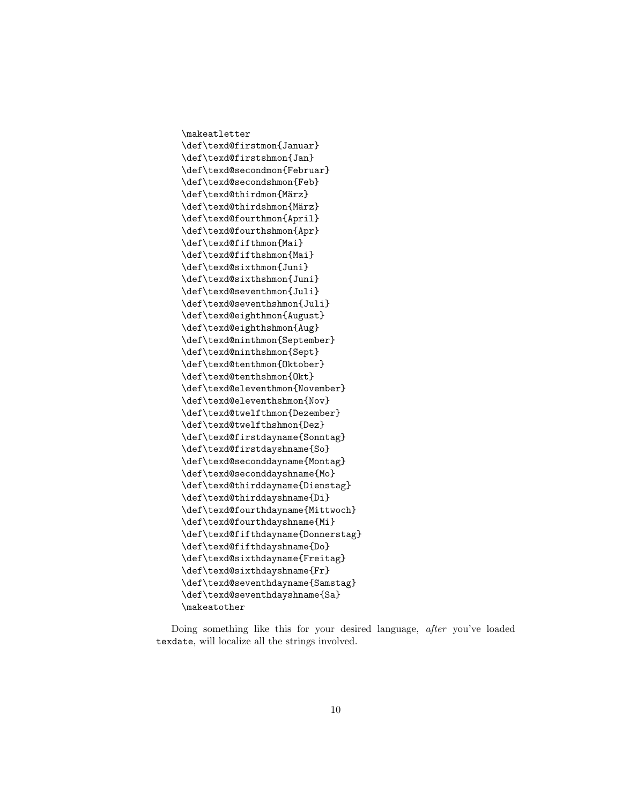\makeatletter \def\texd@firstmon{Januar} \def\texd@firstshmon{Jan} \def\texd@secondmon{Februar} \def\texd@secondshmon{Feb} \def\texd@thirdmon{März} \def\texd@thirdshmon{März} \def\texd@fourthmon{April} \def\texd@fourthshmon{Apr} \def\texd@fifthmon{Mai} \def\texd@fifthshmon{Mai} \def\texd@sixthmon{Juni} \def\texd@sixthshmon{Juni} \def\texd@seventhmon{Juli} \def\texd@seventhshmon{Juli} \def\texd@eighthmon{August} \def\texd@eighthshmon{Aug} \def\texd@ninthmon{September} \def\texd@ninthshmon{Sept} \def\texd@tenthmon{Oktober} \def\texd@tenthshmon{Okt} \def\texd@eleventhmon{November} \def\texd@eleventhshmon{Nov} \def\texd@twelfthmon{Dezember} \def\texd@twelfthshmon{Dez} \def\texd@firstdayname{Sonntag} \def\texd@firstdayshname{So} \def\texd@seconddayname{Montag} \def\texd@seconddayshname{Mo} \def\texd@thirddayname{Dienstag} \def\texd@thirddayshname{Di} \def\texd@fourthdayname{Mittwoch} \def\texd@fourthdayshname{Mi} \def\texd@fifthdayname{Donnerstag} \def\texd@fifthdayshname{Do} \def\texd@sixthdayname{Freitag} \def\texd@sixthdayshname{Fr} \def\texd@seventhdayname{Samstag} \def\texd@seventhdayshname{Sa} \makeatother

Doing something like this for your desired language, after you've loaded texdate, will localize all the strings involved.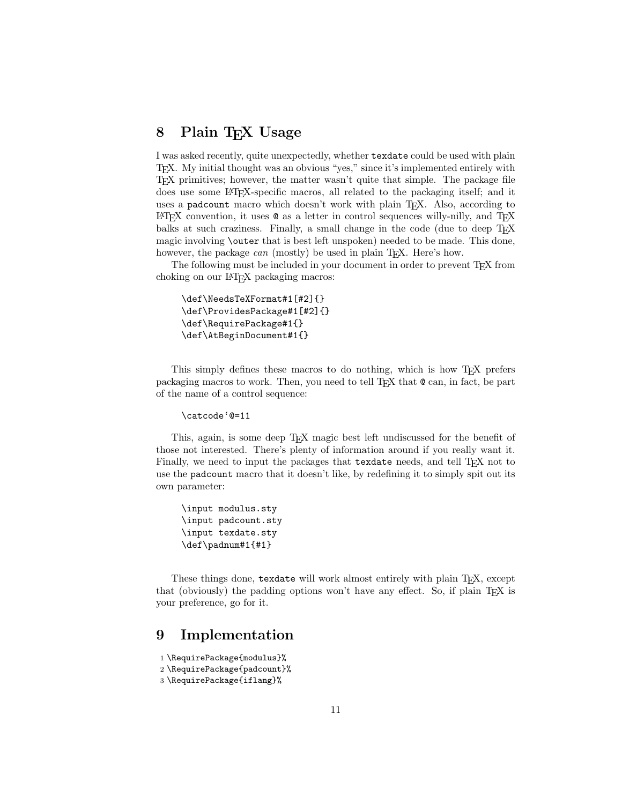### 8 Plain T<sub>E</sub>X Usage

I was asked recently, quite unexpectedly, whether texdate could be used with plain TEX. My initial thought was an obvious "yes," since it's implemented entirely with TEX primitives; however, the matter wasn't quite that simple. The package file does use some LATEX-specific macros, all related to the packaging itself; and it uses a padcount macro which doesn't work with plain T<sub>E</sub>X. Also, according to  $\Delta F$ <sub>E</sub>X convention, it uses  $\mathcal Q$  as a letter in control sequences willy-nilly, and T<sub>E</sub>X balks at such craziness. Finally, a small change in the code (due to deep T<sub>E</sub>X magic involving \outer that is best left unspoken) needed to be made. This done, however, the package *can* (mostly) be used in plain T<sub>E</sub>X. Here's how.

The following must be included in your document in order to prevent T<sub>E</sub>X from choking on our LATEX packaging macros:

```
\def\NeedsTeXFormat#1[#2]{}
\def\ProvidesPackage#1[#2]{}
\def\RequirePackage#1{}
\def\AtBeginDocument#1{}
```
This simply defines these macros to do nothing, which is how TEX prefers packaging macros to work. Then, you need to tell TEX that  $@$  can, in fact, be part of the name of a control sequence:

```
\catcode'@=11
```
This, again, is some deep TEX magic best left undiscussed for the benefit of those not interested. There's plenty of information around if you really want it. Finally, we need to input the packages that texdate needs, and tell T<sub>E</sub>X not to use the padcount macro that it doesn't like, by redefining it to simply spit out its own parameter:

```
\input modulus.sty
\input padcount.sty
\input texdate.sty
\def\padnum#1{#1}
```
These things done, texdate will work almost entirely with plain TEX, except that (obviously) the padding options won't have any effect. So, if plain TEX is your preference, go for it.

### 9 Implementation

```
1 \RequirePackage{modulus}%
```

```
2 \RequirePackage{padcount}%
```

```
3 \RequirePackage{iflang}%
```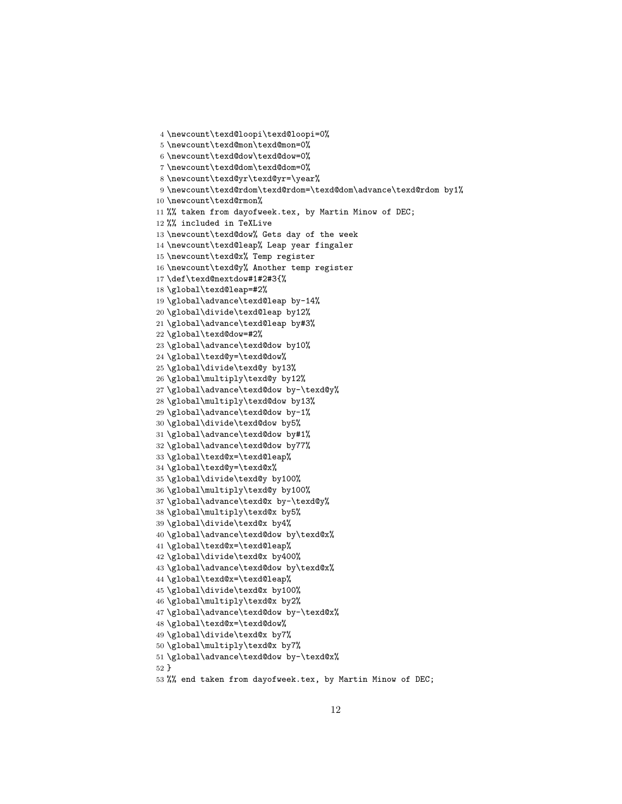```
4 \newcount\texd@loopi\texd@loopi=0%
5 \newcount\texd@mon\texd@mon=0%
6 \newcount\texd@dow\texd@dow=0%
7 \newcount\texd@dom\texd@dom=0%
8 \newcount\texd@yr\texd@yr=\year%
9 \newcount\texd@rdom\texd@rdom=\texd@dom\advance\texd@rdom by1%
10 \newcount\texd@rmon%
11 %% taken from dayofweek.tex, by Martin Minow of DEC;
12 %% included in TeXLive
13 \newcount\texd@dow% Gets day of the week
14 \newcount\texd@leap% Leap year fingaler
15 \newcount\texd@x% Temp register
16 \newcount\texd@y% Another temp register
17 \def\texd@nextdow#1#2#3{%
18 \global\texd@leap=#2%
19 \global\advance\texd@leap by-14%
20 \global\divide\texd@leap by12%
21 \global\advance\texd@leap by#3%
22 \global\texd@dow=#2%
23 \global\advance\texd@dow by10%
24 \global\texd@y=\texd@dow%
25 \global\divide\texd@y by13%
26 \global\multiply\texd@y by12%
27 \global\advance\texd@dow by-\texd@y%
28 \global\multiply\texd@dow by13%
29 \global\advance\texd@dow by-1%
30 \global\divide\texd@dow by5%
31 \global\advance\texd@dow by#1%
32 \global\advance\texd@dow by77%
33 \global\texd@x=\texd@leap%
34 \global\texd@y=\texd@x%
35 \global\divide\texd@y by100%
36 \global\multiply\texd@y by100%
37 \global\advance\texd@x by-\texd@y%
38 \global\multiply\texd@x by5%
39 \global\divide\texd@x by4%
40 \global\advance\texd@dow by\texd@x%
41 \global\texd@x=\texd@leap%
42 \global\divide\texd@x by400%
43 \global\advance\texd@dow by\texd@x%
44 \global\texd@x=\texd@leap%
45 \global\divide\texd@x by100%
46 \global\multiply\texd@x by2%
47 \global\advance\texd@dow by-\texd@x%
48 \global\texd@x=\texd@dow%
49 \global\divide\texd@x by7%
50 \global\multiply\texd@x by7%
51 \global\advance\texd@dow by-\texd@x%
52 }
53 %% end taken from dayofweek.tex, by Martin Minow of DEC;
```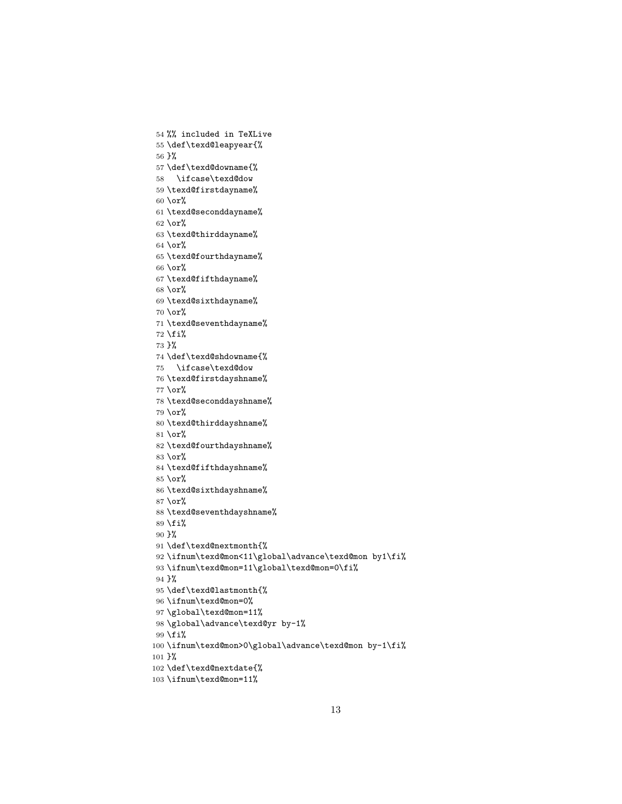```
54 %% included in TeXLive
55 \def\texd@leapyear{%
56 }%
57 \def\texd@downame{%
58 \ifcase\texd@dow
59 \texd@firstdayname%
60 \or%
61 \texd@seconddayname%
62 \text{ or\%}63 \texd@thirddayname%
64 \text{ or\%}65 \texd@fourthdayname%
66 \or%
67 \texd@fifthdayname%
68 \or%
69 \texd@sixthdayname%
70 \or%
71 \texd@seventhdayname%
72 \fi%
73 }%
74 \def\texd@shdowname{%
75 \ifcase\texd@dow
76 \texd@firstdayshname%
77 \or%
78 \texd@seconddayshname%
79 \or%
80 \texd@thirddayshname%
81 \or%
82 \texd@fourthdayshname%
83 \or%
84 \texd@fifthdayshname%
85 \or%
86 \texd@sixthdayshname%
87 \text{ or\%}88 \texd@seventhdayshname%
89 \fi%
90 }%
91 \def\texd@nextmonth{%
 92 \ifnum\texd@mon<11\global\advance\texd@mon by1\fi%
93 \ifnum\texd@mon=11\global\texd@mon=0\fi%
94 }%
95 \def\texd@lastmonth{%
 96 \ifnum\texd@mon=0%
97\global\texd@mon=11%
98 \global\advance\texd@yr by-1%
99 \fi%
100 \ifnum\texd@mon>0\global\advance\texd@mon by-1\fi%
101 }%
102 \def\texd@nextdate{%
103 \ifnum\texd@mon=11%
```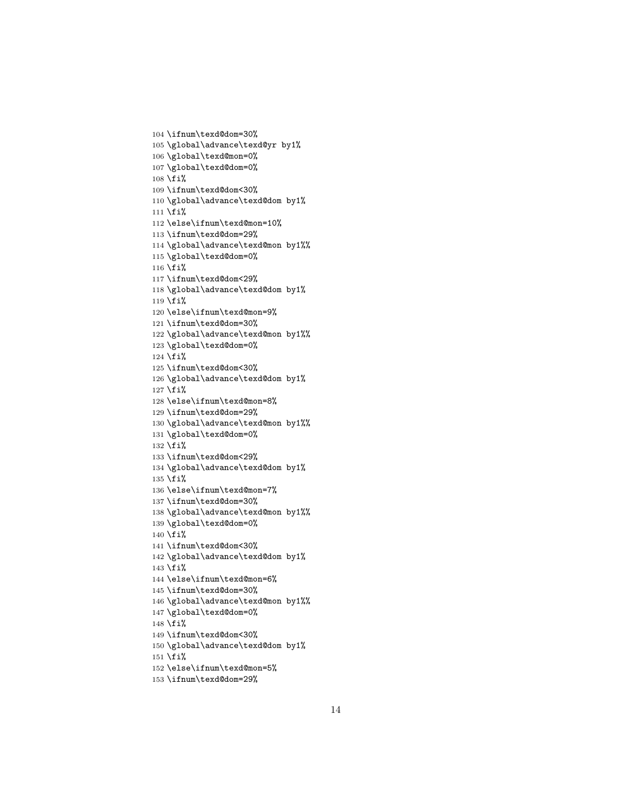```
104 \ifnum\texd@dom=30%
105 \global\advance\texd@yr by1%
106 \global\texd@mon=0%
107 \global\texd@dom=0%
108 \fi%
109 \ifnum\texd@dom<30%
110 \global\advance\texd@dom by1%
111 \overline{\}i%
112 \else\ifnum\texd@mon=10%
113 \ifnum\texd@dom=29%
114 \global\advance\texd@mon by1%%
115 \global\texd@dom=0%
116 \fi%
117 \ifnum\texd@dom<29%
118 \global\advance\texd@dom by1%
119 \fi%
120 \else\ifnum\texd@mon=9%
121 \ifnum\texd@dom=30%
122 \global\advance\texd@mon by1%%
123 \global\texd@dom=0%
124 \fi%
125 \ifnum\texd@dom<30%
126 \global\advance\texd@dom by1%
127 \fi%
128 \else\ifnum\texd@mon=8%
129 \ifnum\texd@dom=29%
130 \global\advance\texd@mon by1%%
131 \global\texd@dom=0%
132 \fi%
133 \ifnum\texd@dom<29%
134 \global\advance\texd@dom by1%
135 \fi%
136 \else\ifnum\texd@mon=7%
137 \ifnum\texd@dom=30%
138 \global\advance\texd@mon by1%%
139 \global\texd@dom=0%
140 \text{Li%}141 \ifnum\texd@dom<30%
142 \global\advance\texd@dom by1%
143 \fi%
144 \else\ifnum\texd@mon=6%
145 \ifnum\texd@dom=30%
146 \global\advance\texd@mon by1%%
147 \global\texd@dom=0%
148 \fi%
149 \ifnum\texd@dom<30%
150 \global\advance\texd@dom by1%
151 \text{ t}152 \else\ifnum\texd@mon=5%
```

```
153 \ifnum\texd@dom=29%
```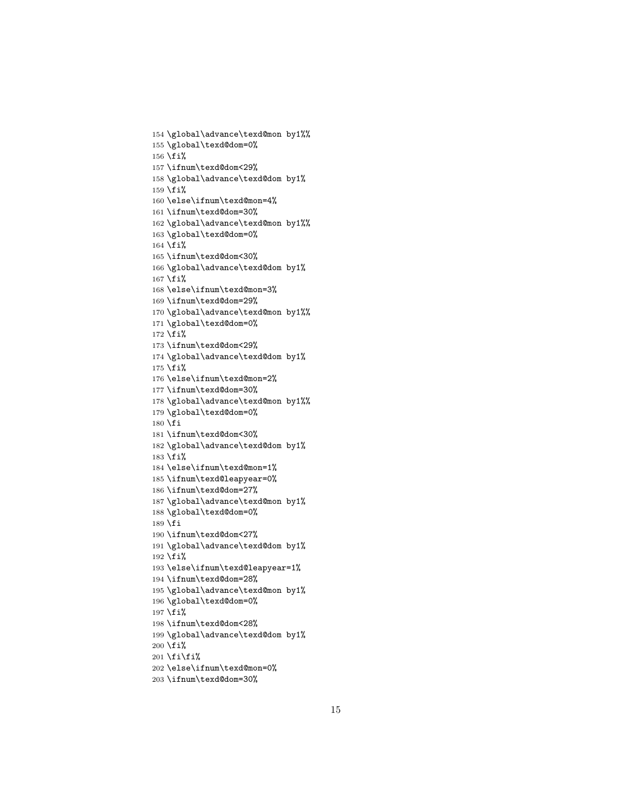```
154 \global\advance\texd@mon by1%%
155 \global\texd@dom=0%
156 \fi%
157 \ifnum\texd@dom<29%
158 \global\advance\texd@dom by1%
159 \fi%
160 \else\ifnum\texd@mon=4%
161 \ifnum\texd@dom=30%
162 \global\advance\texd@mon by1%%
163 \global\texd@dom=0%
164 \fi%
165 \ifnum\texd@dom<30%
166 \global\advance\texd@dom by1%
167 \fi%
168 \else\ifnum\texd@mon=3%
169 \ifnum\texd@dom=29%
170 \global\advance\texd@mon by1%%
171 \global\texd@dom=0%
172 \fi%
173 \ifnum\texd@dom<29%
174 \global\advance\texd@dom by1%
175 \fi%
176 \else\ifnum\texd@mon=2%
177 \ifnum\texd@dom=30%
178 \global\advance\texd@mon by1%%
179 \global\texd@dom=0%
180 \overline{180}181 \ifnum\texd@dom<30%
182 \global\advance\texd@dom by1%
183 \fi%
184 \else\ifnum\texd@mon=1%
185 \ifnum\texd@leapyear=0%
186 \ifnum\texd@dom=27%
187 \global\advance\texd@mon by1%
188 \global\texd@dom=0%
189 \fi
190 \ifnum\texd@dom<27%
191 \global\advance\texd@dom by1%
192 \text{ tif}193 \else\ifnum\texd@leapyear=1%
194 \ifnum\texd@dom=28%
195 \global\advance\texd@mon by1%
196 \global\texd@dom=0%
197 \fi%
198 \ifnum\texd@dom<28%
199 \global\advance\texd@dom by1%
200 \text{ tif}201 \text{fi}202 \else\ifnum\texd@mon=0%
```

```
203 \ifnum\texd@dom=30%
```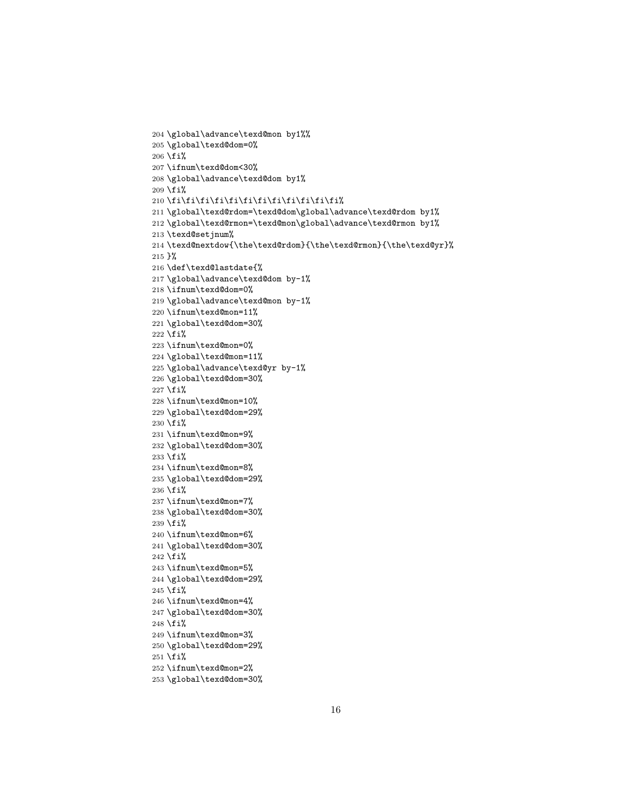```
204 \global\advance\texd@mon by1%%
205 \global\texd@dom=0%
206 \fi%
207 \ifnum\texd@dom<30%
208 \global\advance\texd@dom by1%
209 \fi%
210 \fi\fi\fi\fi\fi\fi\fi\fi\fi\fi\fi\fi%
211 \global\texd@rdom=\texd@dom\global\advance\texd@rdom by1%
212 \global\texd@rmon=\texd@mon\global\advance\texd@rmon by1%
213 \texd@setjnum%
214 \texd@nextdow{\the\texd@rdom}{\the\texd@rmon}{\the\texd@yr}%
215 }%
216 \def\texd@lastdate{%
217 \global\advance\texd@dom by-1%
218 \ifnum\texd@dom=0%
219 \global\advance\texd@mon by-1%
220 \ifnum\texd@mon=11%
221 \global\texd@dom=30%
222 \fi%
223 \ifnum\texd@mon=0%
224 \global\texd@mon=11%
225 \global\advance\texd@yr by-1%
226 \global\texd@dom=30%
227 \fi%
228 \ifnum\texd@mon=10%
229 \global\texd@dom=29%
230 \text{Yi}231 \ifnum\texd@mon=9%
232 \global\texd@dom=30%
233 \fi%
234 \ifnum\texd@mon=8%
235 \global\texd@dom=29%
236 \fi%
237 \ifnum\texd@mon=7%
238 \global\texd@dom=30%
239 \fi%
240 \ifnum\texd@mon=6%
241 \global\texd@dom=30%
242 \fi%
243 \ifnum\texd@mon=5%
244 \global\texd@dom=29%
245 \fi%
246 \ifnum\texd@mon=4%
247 \global\texd@dom=30%
248 \fi%
249 \ifnum\texd@mon=3%
250 \global\texd@dom=29%
251 \fi%
252 \ifnum\texd@mon=2%
253 \global\texd@dom=30%
```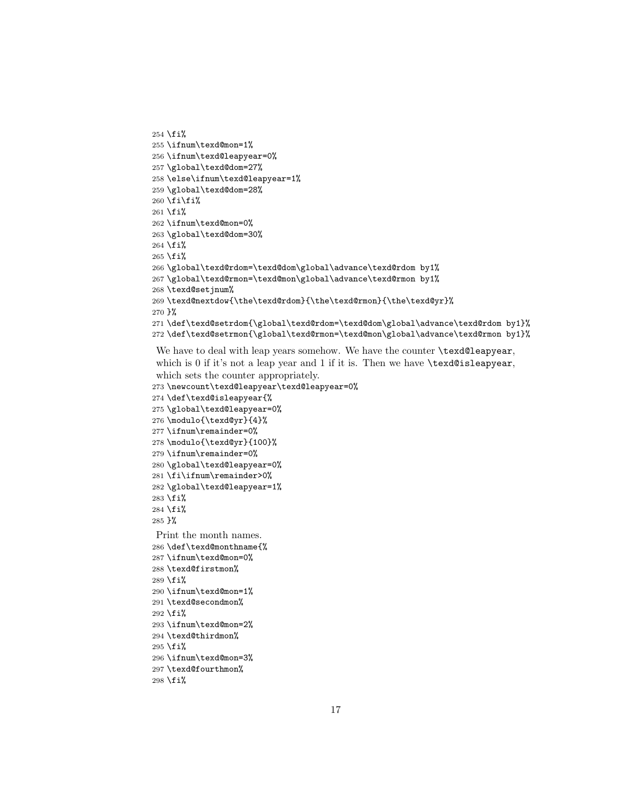```
254 \fi%
255 \ifnum\texd@mon=1%
256 \ifnum\texd@leapyear=0%
257 \global\texd@dom=27%
258 \else\ifnum\texd@leapyear=1%
259 \global\texd@dom=28%
260 \fi\fi%
261 \text{Li}%
262 \ifnum\texd@mon=0%
263 \global\texd@dom=30%
264 \fi%
265 \fi%
266 \global\texd@rdom=\texd@dom\global\advance\texd@rdom by1%
267 \global\texd@rmon=\texd@mon\global\advance\texd@rmon by1%
268 \texd@setjnum%
269 \texd@nextdow{\the\texd@rdom}{\the\texd@rmon}{\the\texd@yr}%
270 }%
271 \def\texd@setrdom{\global\texd@rdom=\texd@dom\global\advance\texd@rdom by1}%
272 \def\texd@setrmon{\global\texd@rmon=\texd@mon\global\advance\texd@rmon by1}%
```
We have to deal with leap years somehow. We have the counter \texd@leapyear, which is 0 if it's not a leap year and 1 if it is. Then we have **\texd@isleapyear**, which sets the counter appropriately.

```
273 \newcount\texd@leapyear\texd@leapyear=0%
274 \def\texd@isleapyear{%
275 \global\texd@leapyear=0%
276 \modulo{\texd@yr}{4}%
277 \ifnum\remainder=0%
278 \modulo{\texd@yr}{100}%
279 \ifnum\remainder=0%
280 \global\texd@leapyear=0%
281 \fi\ifnum\remainder>0%
282 \global\texd@leapyear=1%
283 \fi%
284 \fi%
285 }%
Print the month names.
286 \def\texd@monthname{%
287 \ifnum\texd@mon=0%
288 \texd@firstmon%
289 \fi%
290 \ifnum\texd@mon=1%
291 \texd@secondmon%
292 \fi%
293 \ifnum\texd@mon=2%
294 \texd@thirdmon%
295 \fi%
296 \ifnum\texd@mon=3%
297 \texd@fourthmon%
298 \fi%
```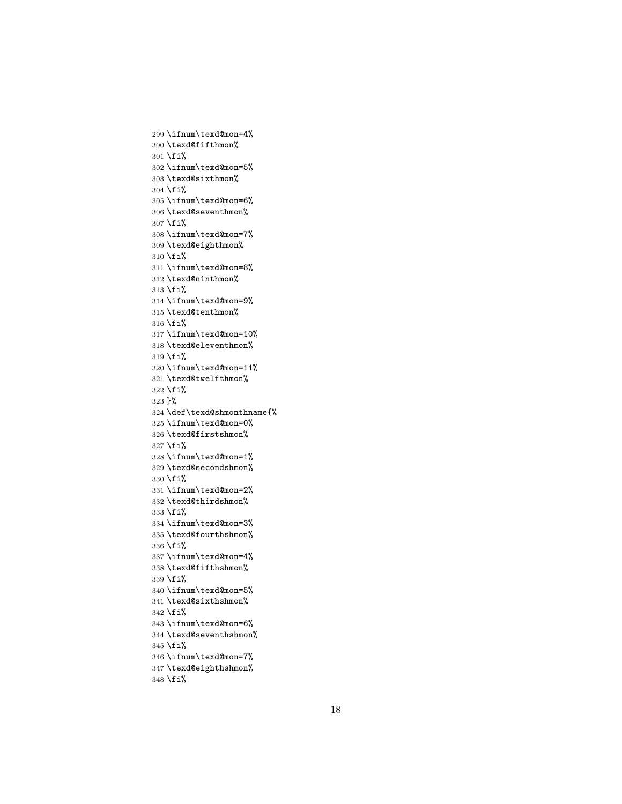```
299 \ifnum\texd@mon=4%
300 \texd@fifthmon%
301 \text{Si}%
302 \ifnum\texd@mon=5%
303 \texd@sixthmon%
304 \text{Li}%
305 \ifnum\texd@mon=6%
306 \texd@seventhmon%
307 \fi%
308 \ifnum\texd@mon=7%
309 \texd@eighthmon%
310 \text{ t}i\%311 \ifnum\texd@mon=8%
312 \texd@ninthmon%
313 \fi%
314 \ifnum\texd@mon=9%
315 \texd@tenthmon%
316 \fi%
317 \ifnum\texd@mon=10%
318 \texd@eleventhmon%
319 \fi%
320 \ifnum\texd@mon=11%
321 \texd@twelfthmon%
322 \fi%
323 }%
324 \def\texd@shmonthname{%
325 \ifnum\texd@mon=0%
326 \texd@firstshmon%
327 \fi%
328 \ifnum\texd@mon=1%
329 \texd@secondshmon%
330 \fi%
331 \ifnum\texd@mon=2%
332 \texd@thirdshmon%
333 \fi%
334 \ifnum\texd@mon=3%
335 \texd@fourthshmon%
336 \fi%
337 \ifnum\texd@mon=4%
338 \texd@fifthshmon%
339 \fi%
340 \ifnum\texd@mon=5%
341 \texd@sixthshmon%
342 \fi%
343 \ifnum\texd@mon=6%
344 \texd@seventhshmon%
345 \fi%
346 \ifnum\texd@mon=7%
347 \texd@eighthshmon%
348 \fi%
```
####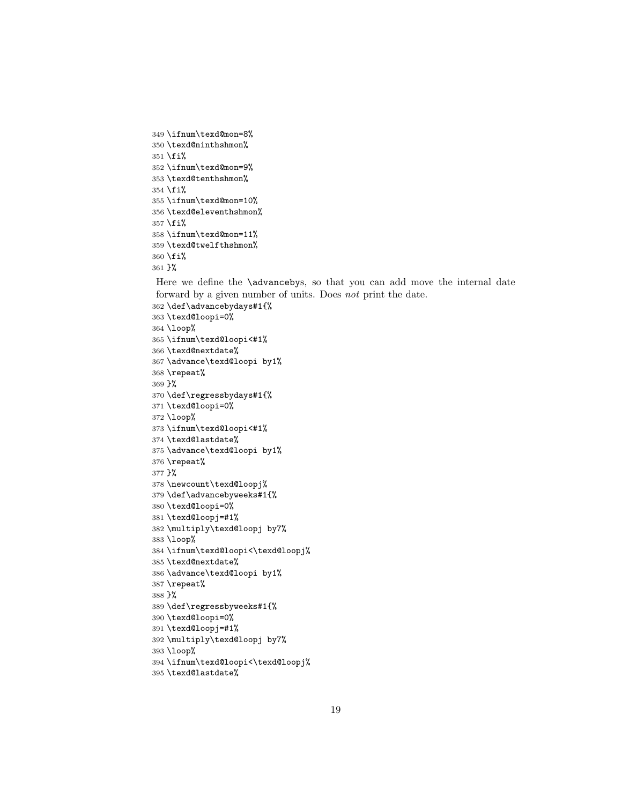```
349 \ifnum\texd@mon=8%
350 \texd@ninthshmon%
351 \fi%
352 \ifnum\texd@mon=9%
353 \texd@tenthshmon%
354 \fi%
355 \ifnum\texd@mon=10%
356 \texd@eleventhshmon%
357 \fi%
358 \ifnum\texd@mon=11%
359 \texd@twelfthshmon%
360 \fi%
361 }%
```
Here we define the **\advancebys**, so that you can add move the internal date forward by a given number of units. Does not print the date.

```
362 \def\advancebydays#1{%
363 \texd@loopi=0%
364 \loop%
365 \ifnum\texd@loopi<#1%
366 \texd@nextdate%
367 \advance\texd@loopi by1%
368 \repeat%
369 }%
370 \def\regressbydays#1{%
371 \texd@loopi=0%
372 \loop%
373 \ifnum\texd@loopi<#1%
374 \texd@lastdate%
375 \advance\texd@loopi by1%
376 \repeat%
377 }%
378 \newcount\texd@loopj%
379 \def\advancebyweeks#1{%
380 \texd@loopi=0%
381 \texd@loopj=#1%
382 \multiply\texd@loopj by7%
383 \loop%
384 \ifnum\texd@loopi<\texd@loopj%
385 \texd@nextdate%
386 \advance\texd@loopi by1%
387 \repeat%
388 }%
389 \def\regressbyweeks#1{%
390 \texd@loopi=0%
391 \texd@loopj=#1%
392 \multiply\texd@loopj by7%
393 \loop%
394 \ifnum\texd@loopi<\texd@loopj%
395 \texd@lastdate%
```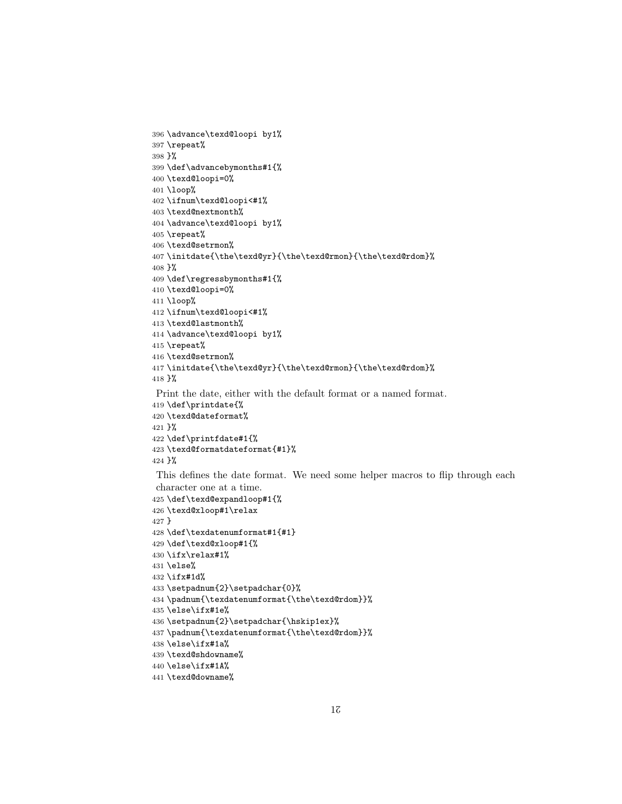```
396 \advance\texd@loopi by1%
397 \repeat%
398 }%
399 \def\advancebymonths#1{%
400 \texd@loopi=0%
401 \loop%
402 \ifnum\texd@loopi<#1%
403 \texd@nextmonth%
404 \advance\texd@loopi by1%
405 \repeat%
406 \texd@setrmon%
407 \initdate{\the\texd@yr}{\the\texd@rmon}{\the\texd@rdom}%
408 }%
409 \def\regressbymonths#1{%
410 \texd@loopi=0%
411 \loop%
412 \ifnum\texd@loopi<#1%
413 \texd@lastmonth%
414 \advance\texd@loopi by1%
415 \repeat%
416 \texd@setrmon%
417 \initdate{\the\texd@yr}{\the\texd@rmon}{\the\texd@rdom}%
418 }%
 Print the date, either with the default format or a named format.
419 \def\printdate{%
420 \texd@dateformat%
421 }%
422 \def\printfdate#1{%
423 \texd@formatdateformat{#1}%
424 }%
 This defines the date format. We need some helper macros to flip through each
character one at a time.
425 \def\texd@expandloop#1{%
426 \texd@xloop#1\relax
427 }
428 \def\texdatenumformat#1{#1}
429 \def\texd@xloop#1{%
430 \ifx\relax#1%
431 \else%
432 \ifx#1d%
433 \setpadnum{2}\setpadchar{0}%
434 \padnum{\texdatenumformat{\the\texd@rdom}}%
435 \else\ifx#1e%
436 \setpadnum{2}\setpadchar{\hskip1ex}%
437 \padnum{\texdatenumformat{\the\texd@rdom}}%
438 \else\ifx#1a%
439 \texd@shdowname%
440 \else\ifx#1A%
```

```
441 \texd@downame%
```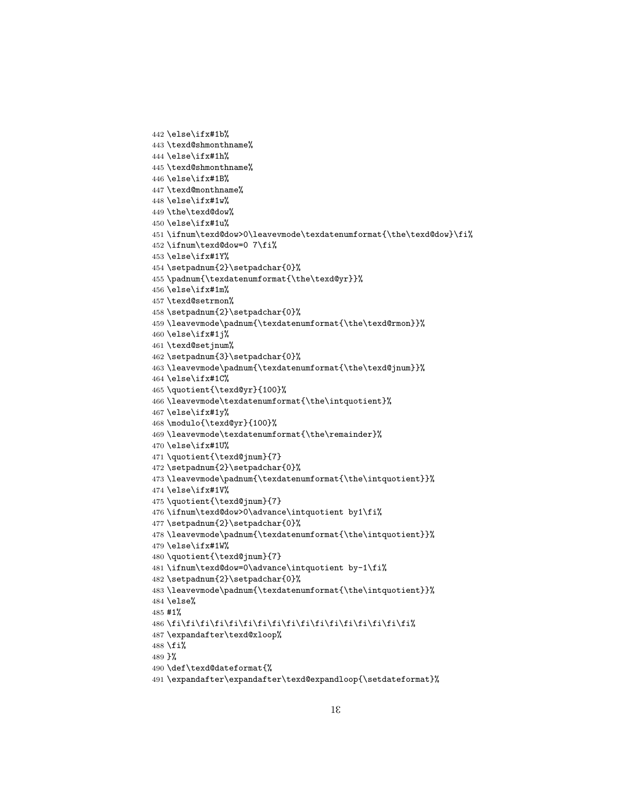```
442 \else\ifx#1b%
443 \texd@shmonthname%
444 \else\ifx#1h%
445 \texd@shmonthname%
446 \else\ifx#1B%
447 \texd@monthname%
448 \else\ifx#1w%
449 \the\texd@dow%
450 \else\ifx#1u%
451 \ifnum\texd@dow>0\leavevmode\texdatenumformat{\the\texd@dow}\fi%
452 \ifnum\texd@dow=0 7\fi%
453 \else\ifx#1Y%
454 \setpadnum{2}\setpadchar{0}%
455 \padnum{\texdatenumformat{\the\texd@yr}}%
456 \else\ifx#1m%
457 \texd@setrmon%
458 \setpadnum{2}\setpadchar{0}%
459 \leavevmode\padnum{\texdatenumformat{\the\texd@rmon}}%
460 \else\ifx#1j%
461 \texd@setjnum%
462 \setpadnum{3}\setpadchar{0}%
463 \leavevmode\padnum{\texdatenumformat{\the\texd@jnum}}%
464 \else\ifx#1C%
465 \quotient{\texd@yr}{100}%
466 \leavevmode\texdatenumformat{\the\intquotient}%
467 \else\ifx#1y%
468 \modulo{\texd@yr}{100}%
469 \leavevmode\texdatenumformat{\the\remainder}%
470 \else\ifx#1U%
471 \quotient{\texd@jnum}{7}
472 \setpadnum{2}\setpadchar{0}%
473 \leavevmode\padnum{\texdatenumformat{\the\intquotient}}%
474 \else\ifx#1V%
475 \quotient{\texd@jnum}{7}
476\ifnum\texd@dow>0\advance\intquotient by1\fi%
477 \setpadnum{2}\setpadchar{0}%
478 \leavevmode\padnum{\texdatenumformat{\the\intquotient}}%
479 \else\ifx#1W%
480 \quotient{\texd@jnum}{7}
481 \ifnum\texd@dow=0\advance\intquotient by-1\fi%
482 \setpadnum{2}\setpadchar{0}%
483 \leavevmode\padnum{\texdatenumformat{\the\intquotient}}%
484 \else%
485 #1%
486 \fi\fi\fi\fi\fi\fi\fi\fi\fi\fi\fi\fi\fi\fi\fi\fi\fi%
487 \expandafter\texd@xloop%
488 \fi%
489 }%
490 \def\texd@dateformat{%
491 \expandafter\expandafter\texd@expandloop{\setdateformat}%
```

```
1E
```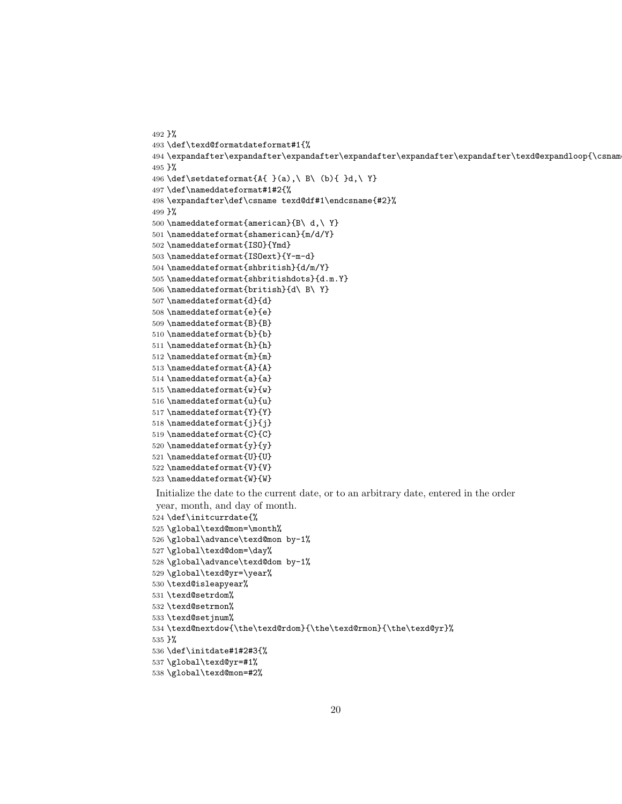```
492 }%
493 \def\texd@formatdateformat#1{%
494 \text{espandafter\expandafter\expandafter\expandafter\expandafter\expandafter\expandafter\text{espandloop}\cosan495 }%
496 \def\setdateformat{A{ }(a),\ B\ (b){ }d,\ Y}
497 \def\nameddateformat#1#2{%
498 \expandafter\def\csname texd@df#1\endcsname{#2}%
499 }%
500 \nameddateformat{american}{B\ d,\ Y}
501 \nameddateformat{shamerican}{m/d/Y}
502 \nameddateformat{ISO}{Ymd}
503 \nameddateformat{ISOext}{Y-m-d}
504 \nameddateformat{shbritish}{d/m/Y}
505 \nameddateformat{shbritishdots}{d.m.Y}
506 \nameddateformat{british}{d\ B\ Y}
507 \nameddateformat{d}{d}
508 \nameddateformat{e}{e}
509 \nameddateformat{B}{B}
510 \nameddateformat{b}{b}
511 \nameddateformat{h}{h}
512 \nameddateformat{m}{m}
513 \nameddateformat{A}{A}
514 \nameddateformat{a}{a}
515 \nameddateformat{w}{w}
516 \nameddateformat{u}{u}
517 \nameddateformat{Y}{Y}
518 \nameddateformat{j}{j}
519 \nameddateformat{C}{C}
520 \nameddateformat{y}{y}
521 \nameddateformat{U}{U}
522 \nameddateformat{V}{V}
523 \nameddateformat{W}{W}
Initialize the date to the current date, or to an arbitrary date, entered in the order
```
year, month, and day of month.

```
524 \def\initcurrdate{%
```

```
525 \global\texd@mon=\month%
```
- \global\advance\texd@mon by-1%
- \global\texd@dom=\day%
- \global\advance\texd@dom by-1%
- \global\texd@yr=\year%
- \texd@isleapyear%
- \texd@setrdom%
- \texd@setrmon%
- \texd@setjnum%
- \texd@nextdow{\the\texd@rdom}{\the\texd@rmon}{\the\texd@yr}%

}%

- \def\initdate#1#2#3{%
- \global\texd@yr=#1%
- \global\texd@mon=#2%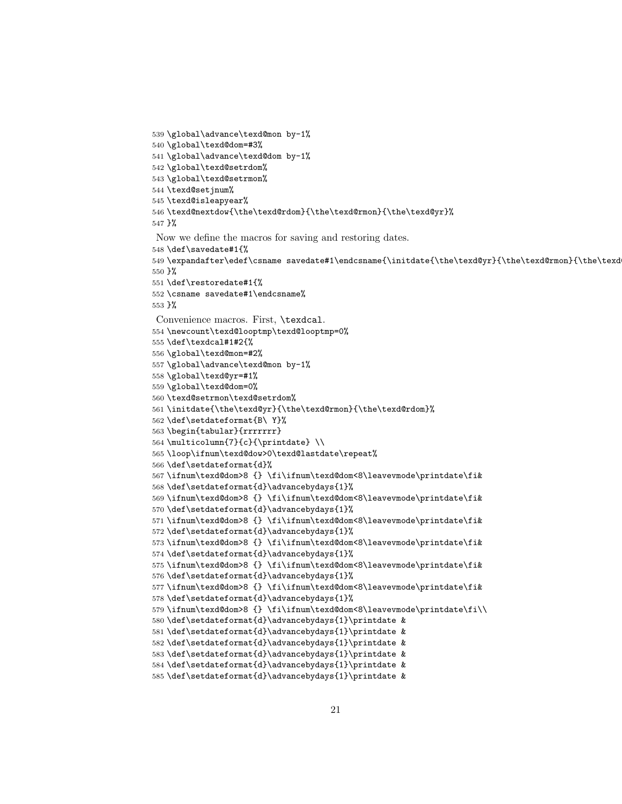```
539 \global\advance\texd@mon by-1%
540 \global\texd@dom=#3%
541 \global\advance\texd@dom by-1%
542 \global\texd@setrdom%
543 \global\texd@setrmon%
544 \texd@setjnum%
545 \texd@isleapyear%
546 \texd@nextdow{\the\texd@rdom}{\the\texd@rmon}{\the\texd@yr}%
547 }%
Now we define the macros for saving and restoring dates.
548 \def\savedate#1{%
549 \expandafter\edef\csname savedate#1\endcsname{\initdate{\the\texd@yr}{\the\texd@rmon}{\the\texd
550 }%
551 \def\restoredate#1{%
552 \csname savedate#1\endcsname%
553 }%
Convenience macros. First, \texdcal.
554 \newcount\texd@looptmp\texd@looptmp=0%
555 \def\texdcal#1#2{%
556 \global\texd@mon=#2%
557 \global\advance\texd@mon by-1%
558 \global\texd@yr=#1%
559 \global\texd@dom=0%
560 \texd@setrmon\texd@setrdom%
561 \initdate{\the\texd@yr}{\the\texd@rmon}{\the\texd@rdom}%
562 \def\setdateformat{B\ Y}%
563 \begin{tabular}{rrrrrrr}
564 \multicolumn{7}{c}{\printdate} \\
565 \loop\ifnum\texd@dow>0\texd@lastdate\repeat%
566 \def\setdateformat{d}%
567 \ifnum\texd@dom>8 {} \fi\ifnum\texd@dom<8\leavevmode\printdate\fi&
568 \def\setdateformat{d}\advancebydays{1}%
569 \ifnum\texd@dom>8 {} \fi\ifnum\texd@dom<8\leavevmode\printdate\fi&
570 \def\setdateformat{d}\advancebydays{1}%
571 \ifnum\texd@dom>8 {} \fi\ifnum\texd@dom<8\leavevmode\printdate\fi&
572 \def\setdateformat{d}\advancebydays{1}%
573 \ifnum\texd@dom>8 {} \fi\ifnum\texd@dom<8\leavevmode\printdate\fi&
574 \def\setdateformat{d}\advancebydays{1}%
575 \ifnum\texd@dom>8 {} \fi\ifnum\texd@dom<8\leavevmode\printdate\fi&
576 \def\setdateformat{d}\advancebydays{1}%
577 \ifnum\texd@dom>8 {} \fi\ifnum\texd@dom<8\leavevmode\printdate\fi&
578 \def\setdateformat{d}\advancebydays{1}%
579 \ifnum\texd@dom>8 {} \fi\ifnum\texd@dom<8\leavevmode\printdate\fi\\
580 \def\setdateformat{d}\advancebydays{1}\printdate &
581 \def\setdateformat{d}\advancebydays{1}\printdate &
582 \def\setdateformat{d}\advancebydays{1}\printdate &
583 \def\setdateformat{d}\advancebydays{1}\printdate &
584 \def\setdateformat{d}\advancebydays{1}\printdate &
585 \def\setdateformat{d}\advancebydays{1}\printdate &
```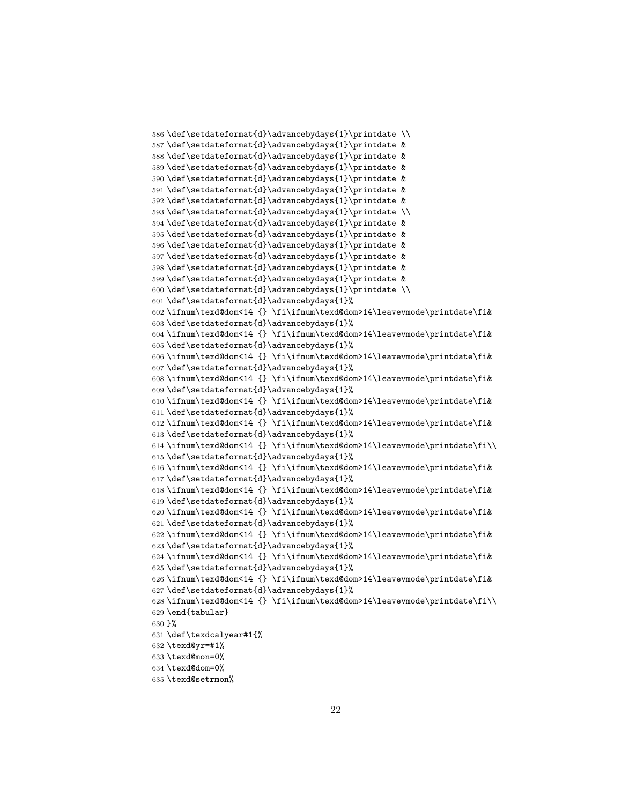```
586 \def\setdateformat{d}\advancebydays{1}\printdate \\
587 \def\setdateformat{d}\advancebydays{1}\printdate &
588 \def\setdateformat{d}\advancebydays{1}\printdate &
589 \def\setdateformat{d}\advancebydays{1}\printdate &
590 \def\setdateformat{d}\advancebydays{1}\printdate &
591 \def\setdateformat{d}\advancebydays{1}\printdate &
592 \def\setdateformat{d}\advancebydays{1}\printdate &
593 \def\setdateformat{d}\advancebydays{1}\printdate \\
594 \def\setdateformat{d}\advancebydays{1}\printdate &
595 \def\setdateformat{d}\advancebydays{1}\printdate &
596 \def\setdateformat{d}\advancebydays{1}\printdate &
597 \def\setdateformat{d}\advancebydays{1}\printdate &
598 \def\setdateformat{d}\advancebydays{1}\printdate &
599 \def\setdateformat{d}\advancebydays{1}\printdate &
600 \def\setdateformat{d}\advancebydays{1}\printdate \\
601 \def\setdateformat{d}\advancebydays{1}%
602 \ifnum\texd@dom<14 {} \fi\ifnum\texd@dom>14\leavevmode\printdate\fi&
603 \def\setdateformat{d}\advancebydays{1}%
604 \ifnum\texd@dom<14 {} \fi\ifnum\texd@dom>14\leavevmode\printdate\fi&
605 \def\setdateformat{d}\advancebydays{1}%
606 \ifnum\texd@dom<14 {} \fi\ifnum\texd@dom>14\leavevmode\printdate\fi&
607 \def\setdateformat{d}\advancebydays{1}%
608 \ifnum\texd@dom<14 {} \fi\ifnum\texd@dom>14\leavevmode\printdate\fi&
609 \def\setdateformat{d}\advancebydays{1}%
610 \ifnum\texd@dom<14 {} \fi\ifnum\texd@dom>14\leavevmode\printdate\fi&
611 \def\setdateformat{d}\advancebydays{1}%
612 \ifnum\texd@dom<14 {} \fi\ifnum\texd@dom>14\leavevmode\printdate\fi&
613 \def\setdateformat{d}\advancebydays{1}%
614 \ifnum\texd@dom<14 {} \fi\ifnum\texd@dom>14\leavevmode\printdate\fi\\
615 \def\setdateformat{d}\advancebydays{1}%
616 \ifnum\texd@dom<14 {} \fi\ifnum\texd@dom>14\leavevmode\printdate\fi&
617 \def\setdateformat{d}\advancebydays{1}%
618 \ifnum\texd@dom<14 {} \fi\ifnum\texd@dom>14\leavevmode\printdate\fi&
619 \def\setdateformat{d}\advancebydays{1}%
620 \ifnum\texd@dom<14 {} \fi\ifnum\texd@dom>14\leavevmode\printdate\fi&
621 \def\setdateformat{d}\advancebydays{1}%
622 \ifnum\texd@dom<14 {} \fi\ifnum\texd@dom>14\leavevmode\printdate\fi&
623 \def\setdateformat{d}\advancebydays{1}%
624 \ifnum\texd@dom<14 {} \fi\ifnum\texd@dom>14\leavevmode\printdate\fi&
625 \def\setdateformat{d}\advancebydays{1}%
626 \ifnum\texd@dom<14 {} \fi\ifnum\texd@dom>14\leavevmode\printdate\fi&
627 \def\setdateformat{d}\advancebydays{1}%
628 \ifnum\texd@dom<14 {} \fi\ifnum\texd@dom>14\leavevmode\printdate\fi\\
629 \end{tabular}
630 }%
631 \def\texdcalyear#1{%
632 \texd@yr=#1%
633 \texd@mon=0%
634 \texd@dom=0%
```

```
635 \texd@setrmon%
```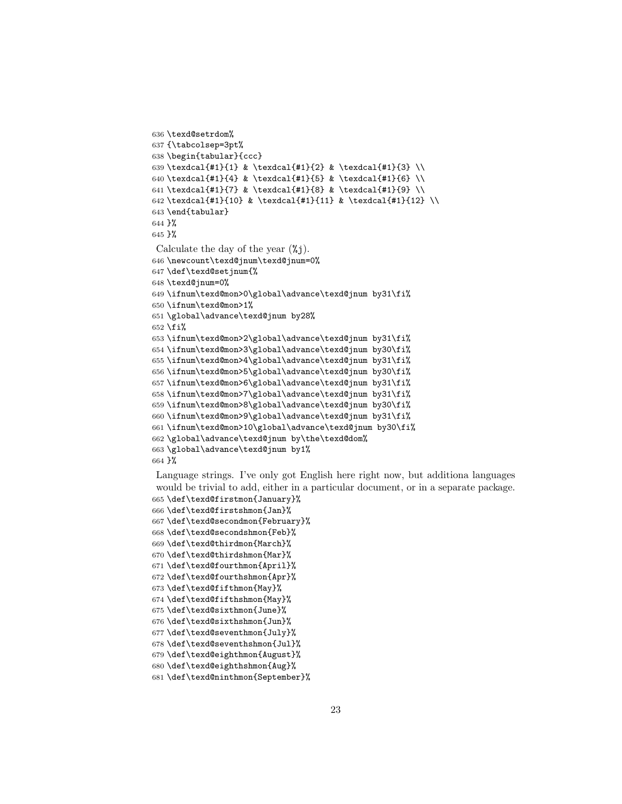```
636 \texd@setrdom%
637 {\tabcolsep=3pt%
638 \begin{tabular}{ccc}
639\texdcal{#1}{1} & \texdcal{#1}{2} & \texdcal{#1}{3} \\
640 \texdcal{#1}{4} & \texdcal{#1}{5} & \texdcal{#1}{6} \\
641 \texdcal{#1}{7} & \texdcal{#1}{8} & \texdcal{#1}{9} \\
642 \texdcal{#1}{10} & \texdcal{#1}{11} & \texdcal{#1}{12} \\
643 \end{tabular}
644 }%
645 }%
Calculate the day of the year (\%j.
646 \newcount\texd@jnum\texd@jnum=0%
647 \def\texd@setjnum{%
648 \texd@jnum=0%
649 \ifnum\texd@mon>0\global\advance\texd@jnum by31\fi%
650 \ifnum\texd@mon>1%
651 \global\advance\texd@jnum by28%
652 \fi%
653 \ifnum\texd@mon>2\global\advance\texd@jnum by31\fi%
654 \ifnum\texd@mon>3\global\advance\texd@jnum by30\fi%
655 \ifnum\texd@mon>4\global\advance\texd@jnum by31\fi%
656 \ifnum\texd@mon>5\global\advance\texd@jnum by30\fi%
657 \ifnum\texd@mon>6\global\advance\texd@jnum by31\fi%
658 \ifnum\texd@mon>7\global\advance\texd@jnum by31\fi%
659 \ifnum\texd@mon>8\global\advance\texd@jnum by30\fi%
660 \ifnum\texd@mon>9\global\advance\texd@jnum by31\fi%
661 \ifnum\texd@mon>10\global\advance\texd@jnum by30\fi%
662 \global\advance\texd@jnum by\the\texd@dom%
663 \global\advance\texd@jnum by1%
664 }%
```
Language strings. I've only got English here right now, but additiona languages would be trivial to add, either in a particular document, or in a separate package. \def\texd@firstmon{January}%

```
666 \def\texd@firstshmon{Jan}%
667 \def\texd@secondmon{February}%
668 \def\texd@secondshmon{Feb}%
669 \def\texd@thirdmon{March}%
670 \def\texd@thirdshmon{Mar}%
671 \def\texd@fourthmon{April}%
672 \def\texd@fourthshmon{Apr}%
673 \def\texd@fifthmon{May}%
674 \def\texd@fifthshmon{May}%
675 \def\texd@sixthmon{June}%
676 \def\texd@sixthshmon{Jun}%
677 \def\texd@seventhmon{July}%
678 \def\texd@seventhshmon{Jul}%
679 \def\texd@eighthmon{August}%
680 \def\texd@eighthshmon{Aug}%
681 \def\texd@ninthmon{September}%
```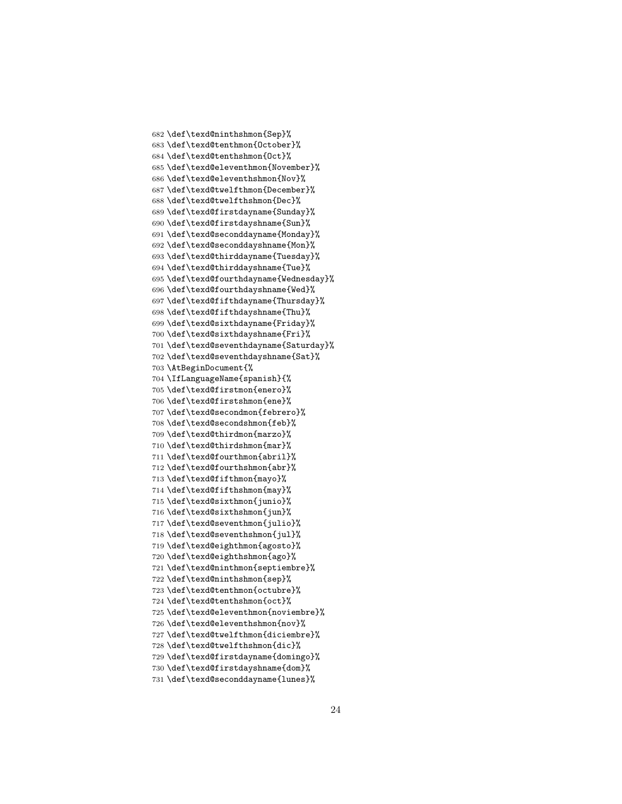```
682 \def\texd@ninthshmon{Sep}%
683 \def\texd@tenthmon{October}%
684 \def\texd@tenthshmon{Oct}%
685 \def\texd@eleventhmon{November}%
686 \def\texd@eleventhshmon{Nov}%
687 \def\texd@twelfthmon{December}%
688 \def\texd@twelfthshmon{Dec}%
689 \def\texd@firstdayname{Sunday}%
690 \def\texd@firstdayshname{Sun}%
691 \def\texd@seconddayname{Monday}%
692 \def\texd@seconddayshname{Mon}%
693 \def\texd@thirddayname{Tuesday}%
694 \def\texd@thirddayshname{Tue}%
695 \def\texd@fourthdayname{Wednesday}%
696 \def\texd@fourthdayshname{Wed}%
697 \def\texd@fifthdayname{Thursday}%
698 \def\texd@fifthdayshname{Thu}%
699 \def\texd@sixthdayname{Friday}%
700 \def\texd@sixthdayshname{Fri}%
701 \def\texd@seventhdayname{Saturday}%
702 \def\texd@seventhdayshname{Sat}%
703 \AtBeginDocument{%
704 \IfLanguageName{spanish}{%
705 \def\texd@firstmon{enero}%
706 \def\texd@firstshmon{ene}%
707 \def\texd@secondmon{febrero}%
708 \def\texd@secondshmon{feb}%
709 \def\texd@thirdmon{marzo}%
710 \def\texd@thirdshmon{mar}%
711 \def\texd@fourthmon{abril}%
712 \def\texd@fourthshmon{abr}%
713 \def\texd@fifthmon{mayo}%
714 \def\texd@fifthshmon{may}%
715 \def\texd@sixthmon{junio}%
716 \def\texd@sixthshmon{jun}%
717 \def\texd@seventhmon{julio}%
718 \def\texd@seventhshmon{jul}%
719 \def\texd@eighthmon{agosto}%
720 \def\texd@eighthshmon{ago}%
721 \def\texd@ninthmon{septiembre}%
722 \def\texd@ninthshmon{sep}%
723 \def\texd@tenthmon{octubre}%
724 \def\texd@tenthshmon{oct}%
725 \def\texd@eleventhmon{noviembre}%
726 \def\texd@eleventhshmon{nov}%
727 \def\texd@twelfthmon{diciembre}%
728 \def\texd@twelfthshmon{dic}%
729 \def\texd@firstdayname{domingo}%
730 \def\texd@firstdayshname{dom}%
731 \def\texd@seconddayname{lunes}%
```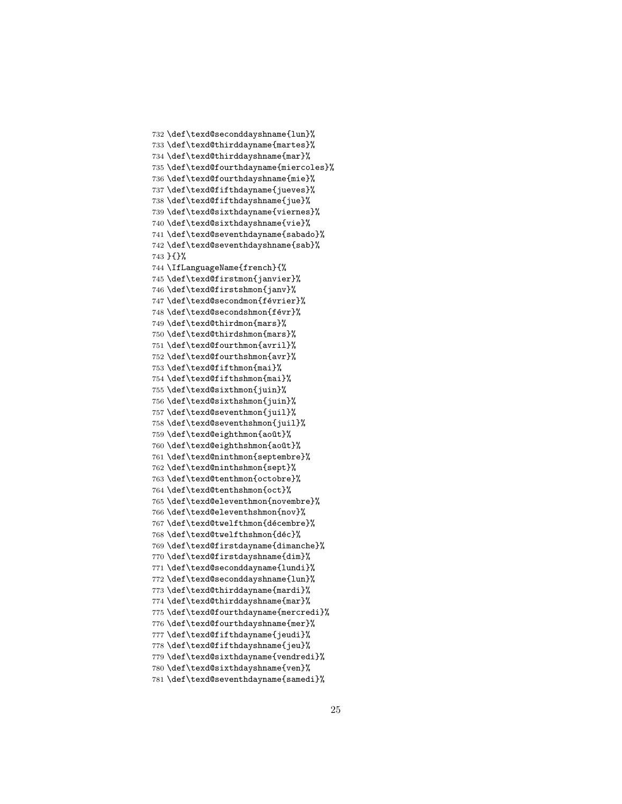```
732 \def\texd@seconddayshname{lun}%
733 \def\texd@thirddayname{martes}%
734 \def\texd@thirddayshname{mar}%
735 \def\texd@fourthdayname{miercoles}%
736 \def\texd@fourthdayshname{mie}%
737 \def\texd@fifthdayname{jueves}%
738 \def\texd@fifthdayshname{jue}%
739 \def\texd@sixthdayname{viernes}%
740 \def\texd@sixthdayshname{vie}%
741 \def\texd@seventhdayname{sabado}%
742 \def\texd@seventhdayshname{sab}%
743 }{}%
744 \IfLanguageName{french}{%
745 \def\texd@firstmon{janvier}%
746 \def\texd@firstshmon{janv}%
747 \def\texd@secondmon{février}%
748 \def\texd@secondshmon{févr}%
749 \def\texd@thirdmon{mars}%
750 \def\texd@thirdshmon{mars}%
751 \def\texd@fourthmon{avril}%
752 \def\texd@fourthshmon{avr}%
753 \def\texd@fifthmon{mai}%
754 \def\texd@fifthshmon{mai}%
755 \def\texd@sixthmon{juin}%
756 \def\texd@sixthshmon{juin}%
757 \def\texd@seventhmon{juil}%
758 \def\texd@seventhshmon{juil}%
759 \def\texd@eighthmon{août}%
760 \def\texd@eighthshmon{août}%
761 \def\texd@ninthmon{septembre}%
762 \def\texd@ninthshmon{sept}%
763 \def\texd@tenthmon{octobre}%
764 \def\texd@tenthshmon{oct}%
765 \def\texd@eleventhmon{novembre}%
766 \def\texd@eleventhshmon{nov}%
767 \def\texd@twelfthmon{décembre}%
768 \def\texd@twelfthshmon{déc}%
769 \def\texd@firstdayname{dimanche}%
770 \def\texd@firstdayshname{dim}%
771 \def\texd@seconddayname{lundi}%
772 \def\texd@seconddayshname{lun}%
773 \def\texd@thirddayname{mardi}%
774 \def\texd@thirddayshname{mar}%
775 \def\texd@fourthdayname{mercredi}%
776 \def\texd@fourthdayshname{mer}%
777 \def\texd@fifthdayname{jeudi}%
778 \def\texd@fifthdayshname{jeu}%
779 \def\texd@sixthdayname{vendredi}%
780 \def\texd@sixthdayshname{ven}%
781 \def\texd@seventhdayname{samedi}%
```